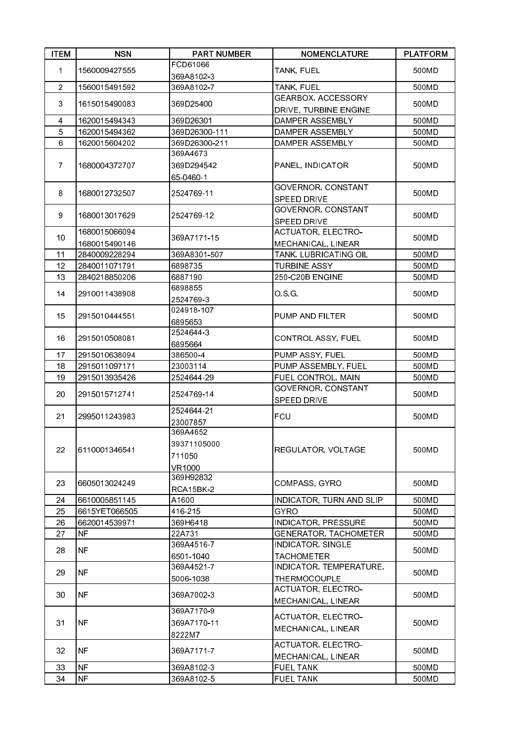| FCD61066<br>1560009427555<br>TANK, FUEL<br>500MD<br>$\mathbf 1$<br>369A8102-3<br>$\overline{2}$<br>TANK, FUEL<br>500MD<br>1560015491592<br>369A8102-7<br>GEARBOX, ACCESSORY<br>3<br>1615015490083<br>369D25400<br>500MD<br>DRIVE, TURBINE ENGINE<br>1620015494343<br>DAMPER ASSEMBLY<br>500MD<br>4<br>369D26301<br>5<br>1620015494362<br>369D26300-111<br>DAMPER ASSEMBLY<br>500MD<br>6<br>369D26300-211<br>1620015604202<br>DAMPER ASSEMBLY<br>500MD<br>369A4673<br>$\overline{7}$<br>1680004372707<br>369D294542<br>PANEL, INDICATOR<br>500MD<br>65-0460-1<br>GOVERNOR, CONSTANT<br>8<br>1680012732507<br>2524769-11<br>500MD<br>SPEED DRIVE<br>GOVERNOR, CONSTANT<br>9<br>1680013017629<br>2524769-12<br>500MD<br>SPEED DRIVE<br>ACTUATOR, ELECTRO-<br>1680015066094<br>10<br>369A7171-15<br>500MD<br>1680015490146<br>MECHANICAL, LINEAR<br>500MD<br>2840009228294<br>369A8301-507<br>TANK, LUBRICATING OIL<br>11<br>12<br>6898735<br><b>TURBINE ASSY</b><br>2840011071791<br>500MD<br>13<br>2840218850206<br>6887190<br>250-C20B ENGINE<br>500MD<br>6898855<br>14<br>OSG.<br>2910011438908<br>500MD<br>25247693<br>024918-107<br>15<br>2915010444551<br>PUMP AND FILTER<br>500MD<br>6895653<br>25246443<br>CONTROL ASSY, FUEL<br>16<br>2915010508081<br>500MD<br>6895664<br>2915010638094<br>386500-4<br>PUMP ASSY, FUEL<br>500MD<br>17<br>PUMP ASSEMBLY, FUEL<br>18<br>2915011097171<br>23003114<br>500MD<br>FUEL CONTROL, MAIN<br>19<br>2915013935426<br>2524644-29<br>500MD<br>GOVERNOR, CONSTANT<br>20<br>2915015712741<br>2524769-14<br>500MD<br><b>SPEED DRIVE</b><br>2524644-21<br><b>FCU</b><br>21<br>2995011243983<br>500MD<br>23007857<br>369A4652<br>39371105000<br>22<br>REGULATOR, VOLTAGE<br>500MD<br>6110001346541<br>711050<br><b>VR1000</b><br>369H92832<br>23<br>COMPASS, GYRO<br>500MD<br>6605013024249<br>RCA15BK-2<br>6610005851145<br>INDICATOR, TURN AND SLIP<br>24<br>A1600<br>500MD<br><b>GYRO</b><br>25<br>6615YET066505<br>416-215<br>500MD<br>26<br>369H6418<br><b>INDICATOR, PRESSURE</b><br>500MD<br>6620014539971<br>27<br><b>NF</b><br>22A731<br><b>GENERATOR, TACHOMETER</b><br>500MD<br>369A4516-7<br><b>INDICATOR, SINGLE</b><br><b>NF</b><br>500MD<br>28<br>6501-1040<br><b>TACHOMETER</b><br>INDICATOR, TEMPERATURE,<br>369A4521-7<br><b>NF</b><br>29<br>500MD<br>5006-1038<br><b>THERMOCOUPLE</b><br>ACTUATOR, ELECTRO-<br><b>NF</b><br>30<br>369A7002-3<br>500MD<br>MECHANICAL, LINEAR<br>369A7170-9<br>ACTUATOR, ELECTRO-<br>31<br><b>NF</b><br>369A7170-11<br>500MD<br>MECHANICAL, LINEAR<br>8222M7<br>ACTUATOR, ELECTRO-<br><b>NF</b><br>32<br>369A7171-7<br>500MD<br>MECHANICAL, LINEAR<br><b>NF</b><br>369A8102-3<br><b>FUEL TANK</b><br>33<br>500MD<br>34<br><b>NF</b><br>369A8102-5<br>FUEL TANK<br>500MD | <b>ITEM</b> | <b>NSN</b> | <b>PART NUMBER</b> | <b>NOMENCLATURE</b> | <b>PLATFORM</b> |
|--------------------------------------------------------------------------------------------------------------------------------------------------------------------------------------------------------------------------------------------------------------------------------------------------------------------------------------------------------------------------------------------------------------------------------------------------------------------------------------------------------------------------------------------------------------------------------------------------------------------------------------------------------------------------------------------------------------------------------------------------------------------------------------------------------------------------------------------------------------------------------------------------------------------------------------------------------------------------------------------------------------------------------------------------------------------------------------------------------------------------------------------------------------------------------------------------------------------------------------------------------------------------------------------------------------------------------------------------------------------------------------------------------------------------------------------------------------------------------------------------------------------------------------------------------------------------------------------------------------------------------------------------------------------------------------------------------------------------------------------------------------------------------------------------------------------------------------------------------------------------------------------------------------------------------------------------------------------------------------------------------------------------------------------------------------------------------------------------------------------------------------------------------------------------------------------------------------------------------------------------------------------------------------------------------------------------------------------------------------------------------------------------------------------------------------------------------------------------------------------------------------------------------------------------------------------------------------------------------------------------------------------------------------------------------------------------------------------------------------------------------------|-------------|------------|--------------------|---------------------|-----------------|
|                                                                                                                                                                                                                                                                                                                                                                                                                                                                                                                                                                                                                                                                                                                                                                                                                                                                                                                                                                                                                                                                                                                                                                                                                                                                                                                                                                                                                                                                                                                                                                                                                                                                                                                                                                                                                                                                                                                                                                                                                                                                                                                                                                                                                                                                                                                                                                                                                                                                                                                                                                                                                                                                                                                                                              |             |            |                    |                     |                 |
|                                                                                                                                                                                                                                                                                                                                                                                                                                                                                                                                                                                                                                                                                                                                                                                                                                                                                                                                                                                                                                                                                                                                                                                                                                                                                                                                                                                                                                                                                                                                                                                                                                                                                                                                                                                                                                                                                                                                                                                                                                                                                                                                                                                                                                                                                                                                                                                                                                                                                                                                                                                                                                                                                                                                                              |             |            |                    |                     |                 |
|                                                                                                                                                                                                                                                                                                                                                                                                                                                                                                                                                                                                                                                                                                                                                                                                                                                                                                                                                                                                                                                                                                                                                                                                                                                                                                                                                                                                                                                                                                                                                                                                                                                                                                                                                                                                                                                                                                                                                                                                                                                                                                                                                                                                                                                                                                                                                                                                                                                                                                                                                                                                                                                                                                                                                              |             |            |                    |                     |                 |
|                                                                                                                                                                                                                                                                                                                                                                                                                                                                                                                                                                                                                                                                                                                                                                                                                                                                                                                                                                                                                                                                                                                                                                                                                                                                                                                                                                                                                                                                                                                                                                                                                                                                                                                                                                                                                                                                                                                                                                                                                                                                                                                                                                                                                                                                                                                                                                                                                                                                                                                                                                                                                                                                                                                                                              |             |            |                    |                     |                 |
|                                                                                                                                                                                                                                                                                                                                                                                                                                                                                                                                                                                                                                                                                                                                                                                                                                                                                                                                                                                                                                                                                                                                                                                                                                                                                                                                                                                                                                                                                                                                                                                                                                                                                                                                                                                                                                                                                                                                                                                                                                                                                                                                                                                                                                                                                                                                                                                                                                                                                                                                                                                                                                                                                                                                                              |             |            |                    |                     |                 |
|                                                                                                                                                                                                                                                                                                                                                                                                                                                                                                                                                                                                                                                                                                                                                                                                                                                                                                                                                                                                                                                                                                                                                                                                                                                                                                                                                                                                                                                                                                                                                                                                                                                                                                                                                                                                                                                                                                                                                                                                                                                                                                                                                                                                                                                                                                                                                                                                                                                                                                                                                                                                                                                                                                                                                              |             |            |                    |                     |                 |
|                                                                                                                                                                                                                                                                                                                                                                                                                                                                                                                                                                                                                                                                                                                                                                                                                                                                                                                                                                                                                                                                                                                                                                                                                                                                                                                                                                                                                                                                                                                                                                                                                                                                                                                                                                                                                                                                                                                                                                                                                                                                                                                                                                                                                                                                                                                                                                                                                                                                                                                                                                                                                                                                                                                                                              |             |            |                    |                     |                 |
|                                                                                                                                                                                                                                                                                                                                                                                                                                                                                                                                                                                                                                                                                                                                                                                                                                                                                                                                                                                                                                                                                                                                                                                                                                                                                                                                                                                                                                                                                                                                                                                                                                                                                                                                                                                                                                                                                                                                                                                                                                                                                                                                                                                                                                                                                                                                                                                                                                                                                                                                                                                                                                                                                                                                                              |             |            |                    |                     |                 |
|                                                                                                                                                                                                                                                                                                                                                                                                                                                                                                                                                                                                                                                                                                                                                                                                                                                                                                                                                                                                                                                                                                                                                                                                                                                                                                                                                                                                                                                                                                                                                                                                                                                                                                                                                                                                                                                                                                                                                                                                                                                                                                                                                                                                                                                                                                                                                                                                                                                                                                                                                                                                                                                                                                                                                              |             |            |                    |                     |                 |
|                                                                                                                                                                                                                                                                                                                                                                                                                                                                                                                                                                                                                                                                                                                                                                                                                                                                                                                                                                                                                                                                                                                                                                                                                                                                                                                                                                                                                                                                                                                                                                                                                                                                                                                                                                                                                                                                                                                                                                                                                                                                                                                                                                                                                                                                                                                                                                                                                                                                                                                                                                                                                                                                                                                                                              |             |            |                    |                     |                 |
|                                                                                                                                                                                                                                                                                                                                                                                                                                                                                                                                                                                                                                                                                                                                                                                                                                                                                                                                                                                                                                                                                                                                                                                                                                                                                                                                                                                                                                                                                                                                                                                                                                                                                                                                                                                                                                                                                                                                                                                                                                                                                                                                                                                                                                                                                                                                                                                                                                                                                                                                                                                                                                                                                                                                                              |             |            |                    |                     |                 |
|                                                                                                                                                                                                                                                                                                                                                                                                                                                                                                                                                                                                                                                                                                                                                                                                                                                                                                                                                                                                                                                                                                                                                                                                                                                                                                                                                                                                                                                                                                                                                                                                                                                                                                                                                                                                                                                                                                                                                                                                                                                                                                                                                                                                                                                                                                                                                                                                                                                                                                                                                                                                                                                                                                                                                              |             |            |                    |                     |                 |
|                                                                                                                                                                                                                                                                                                                                                                                                                                                                                                                                                                                                                                                                                                                                                                                                                                                                                                                                                                                                                                                                                                                                                                                                                                                                                                                                                                                                                                                                                                                                                                                                                                                                                                                                                                                                                                                                                                                                                                                                                                                                                                                                                                                                                                                                                                                                                                                                                                                                                                                                                                                                                                                                                                                                                              |             |            |                    |                     |                 |
|                                                                                                                                                                                                                                                                                                                                                                                                                                                                                                                                                                                                                                                                                                                                                                                                                                                                                                                                                                                                                                                                                                                                                                                                                                                                                                                                                                                                                                                                                                                                                                                                                                                                                                                                                                                                                                                                                                                                                                                                                                                                                                                                                                                                                                                                                                                                                                                                                                                                                                                                                                                                                                                                                                                                                              |             |            |                    |                     |                 |
|                                                                                                                                                                                                                                                                                                                                                                                                                                                                                                                                                                                                                                                                                                                                                                                                                                                                                                                                                                                                                                                                                                                                                                                                                                                                                                                                                                                                                                                                                                                                                                                                                                                                                                                                                                                                                                                                                                                                                                                                                                                                                                                                                                                                                                                                                                                                                                                                                                                                                                                                                                                                                                                                                                                                                              |             |            |                    |                     |                 |
|                                                                                                                                                                                                                                                                                                                                                                                                                                                                                                                                                                                                                                                                                                                                                                                                                                                                                                                                                                                                                                                                                                                                                                                                                                                                                                                                                                                                                                                                                                                                                                                                                                                                                                                                                                                                                                                                                                                                                                                                                                                                                                                                                                                                                                                                                                                                                                                                                                                                                                                                                                                                                                                                                                                                                              |             |            |                    |                     |                 |
|                                                                                                                                                                                                                                                                                                                                                                                                                                                                                                                                                                                                                                                                                                                                                                                                                                                                                                                                                                                                                                                                                                                                                                                                                                                                                                                                                                                                                                                                                                                                                                                                                                                                                                                                                                                                                                                                                                                                                                                                                                                                                                                                                                                                                                                                                                                                                                                                                                                                                                                                                                                                                                                                                                                                                              |             |            |                    |                     |                 |
|                                                                                                                                                                                                                                                                                                                                                                                                                                                                                                                                                                                                                                                                                                                                                                                                                                                                                                                                                                                                                                                                                                                                                                                                                                                                                                                                                                                                                                                                                                                                                                                                                                                                                                                                                                                                                                                                                                                                                                                                                                                                                                                                                                                                                                                                                                                                                                                                                                                                                                                                                                                                                                                                                                                                                              |             |            |                    |                     |                 |
|                                                                                                                                                                                                                                                                                                                                                                                                                                                                                                                                                                                                                                                                                                                                                                                                                                                                                                                                                                                                                                                                                                                                                                                                                                                                                                                                                                                                                                                                                                                                                                                                                                                                                                                                                                                                                                                                                                                                                                                                                                                                                                                                                                                                                                                                                                                                                                                                                                                                                                                                                                                                                                                                                                                                                              |             |            |                    |                     |                 |
|                                                                                                                                                                                                                                                                                                                                                                                                                                                                                                                                                                                                                                                                                                                                                                                                                                                                                                                                                                                                                                                                                                                                                                                                                                                                                                                                                                                                                                                                                                                                                                                                                                                                                                                                                                                                                                                                                                                                                                                                                                                                                                                                                                                                                                                                                                                                                                                                                                                                                                                                                                                                                                                                                                                                                              |             |            |                    |                     |                 |
|                                                                                                                                                                                                                                                                                                                                                                                                                                                                                                                                                                                                                                                                                                                                                                                                                                                                                                                                                                                                                                                                                                                                                                                                                                                                                                                                                                                                                                                                                                                                                                                                                                                                                                                                                                                                                                                                                                                                                                                                                                                                                                                                                                                                                                                                                                                                                                                                                                                                                                                                                                                                                                                                                                                                                              |             |            |                    |                     |                 |
|                                                                                                                                                                                                                                                                                                                                                                                                                                                                                                                                                                                                                                                                                                                                                                                                                                                                                                                                                                                                                                                                                                                                                                                                                                                                                                                                                                                                                                                                                                                                                                                                                                                                                                                                                                                                                                                                                                                                                                                                                                                                                                                                                                                                                                                                                                                                                                                                                                                                                                                                                                                                                                                                                                                                                              |             |            |                    |                     |                 |
|                                                                                                                                                                                                                                                                                                                                                                                                                                                                                                                                                                                                                                                                                                                                                                                                                                                                                                                                                                                                                                                                                                                                                                                                                                                                                                                                                                                                                                                                                                                                                                                                                                                                                                                                                                                                                                                                                                                                                                                                                                                                                                                                                                                                                                                                                                                                                                                                                                                                                                                                                                                                                                                                                                                                                              |             |            |                    |                     |                 |
|                                                                                                                                                                                                                                                                                                                                                                                                                                                                                                                                                                                                                                                                                                                                                                                                                                                                                                                                                                                                                                                                                                                                                                                                                                                                                                                                                                                                                                                                                                                                                                                                                                                                                                                                                                                                                                                                                                                                                                                                                                                                                                                                                                                                                                                                                                                                                                                                                                                                                                                                                                                                                                                                                                                                                              |             |            |                    |                     |                 |
|                                                                                                                                                                                                                                                                                                                                                                                                                                                                                                                                                                                                                                                                                                                                                                                                                                                                                                                                                                                                                                                                                                                                                                                                                                                                                                                                                                                                                                                                                                                                                                                                                                                                                                                                                                                                                                                                                                                                                                                                                                                                                                                                                                                                                                                                                                                                                                                                                                                                                                                                                                                                                                                                                                                                                              |             |            |                    |                     |                 |
|                                                                                                                                                                                                                                                                                                                                                                                                                                                                                                                                                                                                                                                                                                                                                                                                                                                                                                                                                                                                                                                                                                                                                                                                                                                                                                                                                                                                                                                                                                                                                                                                                                                                                                                                                                                                                                                                                                                                                                                                                                                                                                                                                                                                                                                                                                                                                                                                                                                                                                                                                                                                                                                                                                                                                              |             |            |                    |                     |                 |
|                                                                                                                                                                                                                                                                                                                                                                                                                                                                                                                                                                                                                                                                                                                                                                                                                                                                                                                                                                                                                                                                                                                                                                                                                                                                                                                                                                                                                                                                                                                                                                                                                                                                                                                                                                                                                                                                                                                                                                                                                                                                                                                                                                                                                                                                                                                                                                                                                                                                                                                                                                                                                                                                                                                                                              |             |            |                    |                     |                 |
|                                                                                                                                                                                                                                                                                                                                                                                                                                                                                                                                                                                                                                                                                                                                                                                                                                                                                                                                                                                                                                                                                                                                                                                                                                                                                                                                                                                                                                                                                                                                                                                                                                                                                                                                                                                                                                                                                                                                                                                                                                                                                                                                                                                                                                                                                                                                                                                                                                                                                                                                                                                                                                                                                                                                                              |             |            |                    |                     |                 |
|                                                                                                                                                                                                                                                                                                                                                                                                                                                                                                                                                                                                                                                                                                                                                                                                                                                                                                                                                                                                                                                                                                                                                                                                                                                                                                                                                                                                                                                                                                                                                                                                                                                                                                                                                                                                                                                                                                                                                                                                                                                                                                                                                                                                                                                                                                                                                                                                                                                                                                                                                                                                                                                                                                                                                              |             |            |                    |                     |                 |
|                                                                                                                                                                                                                                                                                                                                                                                                                                                                                                                                                                                                                                                                                                                                                                                                                                                                                                                                                                                                                                                                                                                                                                                                                                                                                                                                                                                                                                                                                                                                                                                                                                                                                                                                                                                                                                                                                                                                                                                                                                                                                                                                                                                                                                                                                                                                                                                                                                                                                                                                                                                                                                                                                                                                                              |             |            |                    |                     |                 |
|                                                                                                                                                                                                                                                                                                                                                                                                                                                                                                                                                                                                                                                                                                                                                                                                                                                                                                                                                                                                                                                                                                                                                                                                                                                                                                                                                                                                                                                                                                                                                                                                                                                                                                                                                                                                                                                                                                                                                                                                                                                                                                                                                                                                                                                                                                                                                                                                                                                                                                                                                                                                                                                                                                                                                              |             |            |                    |                     |                 |
|                                                                                                                                                                                                                                                                                                                                                                                                                                                                                                                                                                                                                                                                                                                                                                                                                                                                                                                                                                                                                                                                                                                                                                                                                                                                                                                                                                                                                                                                                                                                                                                                                                                                                                                                                                                                                                                                                                                                                                                                                                                                                                                                                                                                                                                                                                                                                                                                                                                                                                                                                                                                                                                                                                                                                              |             |            |                    |                     |                 |
|                                                                                                                                                                                                                                                                                                                                                                                                                                                                                                                                                                                                                                                                                                                                                                                                                                                                                                                                                                                                                                                                                                                                                                                                                                                                                                                                                                                                                                                                                                                                                                                                                                                                                                                                                                                                                                                                                                                                                                                                                                                                                                                                                                                                                                                                                                                                                                                                                                                                                                                                                                                                                                                                                                                                                              |             |            |                    |                     |                 |
|                                                                                                                                                                                                                                                                                                                                                                                                                                                                                                                                                                                                                                                                                                                                                                                                                                                                                                                                                                                                                                                                                                                                                                                                                                                                                                                                                                                                                                                                                                                                                                                                                                                                                                                                                                                                                                                                                                                                                                                                                                                                                                                                                                                                                                                                                                                                                                                                                                                                                                                                                                                                                                                                                                                                                              |             |            |                    |                     |                 |
|                                                                                                                                                                                                                                                                                                                                                                                                                                                                                                                                                                                                                                                                                                                                                                                                                                                                                                                                                                                                                                                                                                                                                                                                                                                                                                                                                                                                                                                                                                                                                                                                                                                                                                                                                                                                                                                                                                                                                                                                                                                                                                                                                                                                                                                                                                                                                                                                                                                                                                                                                                                                                                                                                                                                                              |             |            |                    |                     |                 |
|                                                                                                                                                                                                                                                                                                                                                                                                                                                                                                                                                                                                                                                                                                                                                                                                                                                                                                                                                                                                                                                                                                                                                                                                                                                                                                                                                                                                                                                                                                                                                                                                                                                                                                                                                                                                                                                                                                                                                                                                                                                                                                                                                                                                                                                                                                                                                                                                                                                                                                                                                                                                                                                                                                                                                              |             |            |                    |                     |                 |
|                                                                                                                                                                                                                                                                                                                                                                                                                                                                                                                                                                                                                                                                                                                                                                                                                                                                                                                                                                                                                                                                                                                                                                                                                                                                                                                                                                                                                                                                                                                                                                                                                                                                                                                                                                                                                                                                                                                                                                                                                                                                                                                                                                                                                                                                                                                                                                                                                                                                                                                                                                                                                                                                                                                                                              |             |            |                    |                     |                 |
|                                                                                                                                                                                                                                                                                                                                                                                                                                                                                                                                                                                                                                                                                                                                                                                                                                                                                                                                                                                                                                                                                                                                                                                                                                                                                                                                                                                                                                                                                                                                                                                                                                                                                                                                                                                                                                                                                                                                                                                                                                                                                                                                                                                                                                                                                                                                                                                                                                                                                                                                                                                                                                                                                                                                                              |             |            |                    |                     |                 |
|                                                                                                                                                                                                                                                                                                                                                                                                                                                                                                                                                                                                                                                                                                                                                                                                                                                                                                                                                                                                                                                                                                                                                                                                                                                                                                                                                                                                                                                                                                                                                                                                                                                                                                                                                                                                                                                                                                                                                                                                                                                                                                                                                                                                                                                                                                                                                                                                                                                                                                                                                                                                                                                                                                                                                              |             |            |                    |                     |                 |
|                                                                                                                                                                                                                                                                                                                                                                                                                                                                                                                                                                                                                                                                                                                                                                                                                                                                                                                                                                                                                                                                                                                                                                                                                                                                                                                                                                                                                                                                                                                                                                                                                                                                                                                                                                                                                                                                                                                                                                                                                                                                                                                                                                                                                                                                                                                                                                                                                                                                                                                                                                                                                                                                                                                                                              |             |            |                    |                     |                 |
|                                                                                                                                                                                                                                                                                                                                                                                                                                                                                                                                                                                                                                                                                                                                                                                                                                                                                                                                                                                                                                                                                                                                                                                                                                                                                                                                                                                                                                                                                                                                                                                                                                                                                                                                                                                                                                                                                                                                                                                                                                                                                                                                                                                                                                                                                                                                                                                                                                                                                                                                                                                                                                                                                                                                                              |             |            |                    |                     |                 |
|                                                                                                                                                                                                                                                                                                                                                                                                                                                                                                                                                                                                                                                                                                                                                                                                                                                                                                                                                                                                                                                                                                                                                                                                                                                                                                                                                                                                                                                                                                                                                                                                                                                                                                                                                                                                                                                                                                                                                                                                                                                                                                                                                                                                                                                                                                                                                                                                                                                                                                                                                                                                                                                                                                                                                              |             |            |                    |                     |                 |
|                                                                                                                                                                                                                                                                                                                                                                                                                                                                                                                                                                                                                                                                                                                                                                                                                                                                                                                                                                                                                                                                                                                                                                                                                                                                                                                                                                                                                                                                                                                                                                                                                                                                                                                                                                                                                                                                                                                                                                                                                                                                                                                                                                                                                                                                                                                                                                                                                                                                                                                                                                                                                                                                                                                                                              |             |            |                    |                     |                 |
|                                                                                                                                                                                                                                                                                                                                                                                                                                                                                                                                                                                                                                                                                                                                                                                                                                                                                                                                                                                                                                                                                                                                                                                                                                                                                                                                                                                                                                                                                                                                                                                                                                                                                                                                                                                                                                                                                                                                                                                                                                                                                                                                                                                                                                                                                                                                                                                                                                                                                                                                                                                                                                                                                                                                                              |             |            |                    |                     |                 |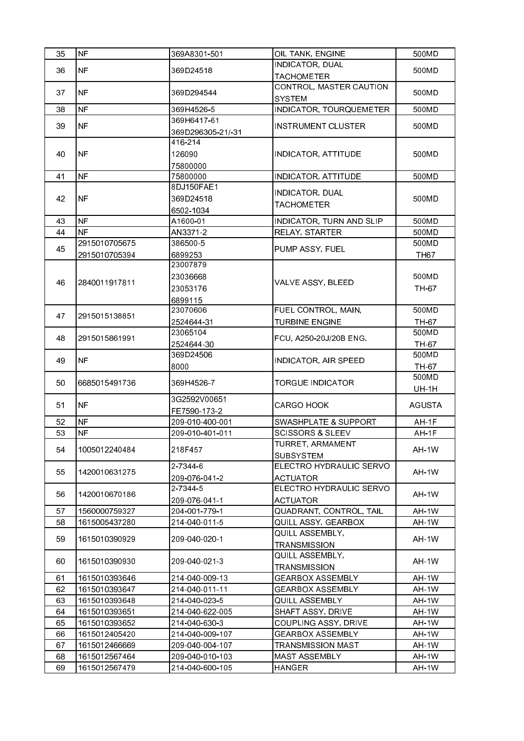| 35 | <b>NF</b>     | 369A8301-501            | OIL TANK, ENGINE                     | 500MD          |
|----|---------------|-------------------------|--------------------------------------|----------------|
|    |               |                         | <b>INDICATOR, DUAL</b>               |                |
| 36 | <b>NF</b>     | 369D24518               | <b>TACHOMETER</b>                    | 500MD          |
|    |               |                         | <b>CONTROL, MASTER CAUTION</b>       |                |
| 37 | <b>NF</b>     | 369D294544              | <b>SYSTEM</b>                        | 500MD          |
| 38 | <b>NF</b>     | 369H4526-5              | <b>INDICATOR, TOURQUEMETER</b>       | 500MD          |
| 39 | <b>NF</b>     | 369H6417-61             | <b>INSTRUMENT CLUSTER</b>            | 500MD          |
|    |               | 369D296305-21/-31       |                                      |                |
|    |               | 416-214                 |                                      |                |
| 40 | <b>NF</b>     | 126090                  | <b>INDICATOR, ATTITUDE</b>           | 500MD          |
|    |               | 75800000                |                                      |                |
| 41 | <b>NF</b>     | 75800000                | <b>INDICATOR, ATTITUDE</b>           | 500MD          |
|    |               | 8DJ150FAE1              | INDICATOR, DUAL                      |                |
| 42 | <b>NF</b>     | 369D24518               | <b>TACHOMETER</b>                    | 500MD          |
|    |               | 6502-1034               |                                      |                |
| 43 | <b>NF</b>     | A1600-01                | INDICATOR, TURN AND SLIP             | 500MD          |
| 44 | <b>NF</b>     | AN3371-2                | RELAY, STARTER                       | 500MD          |
| 45 | 2915010705675 | 386500-5                | PUMP ASSY, FUEL                      | 500MD          |
|    | 2915010705394 | 6899253<br>23007879     |                                      | <b>TH67</b>    |
|    |               |                         |                                      |                |
| 46 | 2840011917811 | 23036668                | VALVE ASSY, BLEED                    | 500MD          |
|    |               | 23053176                |                                      | TH-67          |
|    |               | 6899115                 |                                      |                |
| 47 | 2915015138851 | 23070606                | FUEL CONTROL, MAIN,                  | 500MD          |
|    |               | 2524644-31              | <b>TURBINE ENGINE</b>                | TH-67          |
| 48 | 2915015861991 | 23065104                | FCU, A250-20J/20B ENG.               | 500MD          |
|    |               | 2524644-30<br>369D24506 |                                      | TH 67<br>500MD |
| 49 | <b>NF</b>     | 8000                    | INDICATOR, AIR SPEED                 |                |
|    |               |                         |                                      | TH-67<br>500MD |
| 50 | 6685015491736 | 369H4526-7              | <b>TORGUE INDICATOR</b>              | <b>UH-1H</b>   |
|    |               | 3G2592V00651            |                                      |                |
| 51 | <b>NF</b>     | FE7590-173-2            | <b>CARGO HOOK</b>                    | <b>AGUSTA</b>  |
| 52 | <b>NF</b>     | 209-010-400-001         | SWASHPLATE & SUPPORT                 | AH-1F          |
| 53 | <b>NF</b>     | 209-010-401-011         | <b>SCISSORS &amp; SLEEV</b>          | AH 1F          |
| 54 | 1005012240484 | 218F457                 | TURRET, ARMAMENT<br><b>SUBSYSTEM</b> | AH-1W          |
|    |               | 2 7 3 4 4 6             | ELECTRO HYDRAULIC SERVO              |                |
| 55 | 1420010631275 | 209-076-041-2           | <b>ACTUATOR</b>                      | AH-1W          |
|    |               | 2 7 3 4 4 - 5           | ELECTRO HYDRAULIC SERVO              |                |
| 56 | 1420010670186 | 209-076-041-1           | <b>ACTUATOR</b>                      | AH-1W          |
| 57 | 1560000759327 | 204-001-779-1           | QUADRANT, CONTROL, TAIL              | AH-1W          |
| 58 | 1615005437280 | 214-040-011-5           | QUILL ASSY, GEARBOX                  | AH-1W          |
|    | 1615010390929 |                         | QUILL ASSEMBLY,                      |                |
| 59 |               | 209-040-020-1           | <b>TRANSMISSION</b>                  | AH-1W          |
|    |               |                         | QUILL ASSEMBLY,                      |                |
| 60 | 1615010390930 | 209-040-021-3           | TRANSMISSION                         | AH-1W          |
| 61 | 1615010393646 | 214-040-009-13          | GEARBOX ASSEMBLY                     | AH-1W          |
| 62 | 1615010393647 | 214-040-011-11          | GEARBOX ASSEMBLY                     | AH-1W          |
| 63 | 1615010393648 | 214-040-023-5           | QUILL ASSEMBLY                       | AH-1W          |
| 64 | 1615010393651 | 214-040-622-005         | SHAFT ASSY, DRIVE                    | AH-1W          |
| 65 | 1615010393652 | 214-040-630-3           | COUPLING ASSY, DRIVE                 | AH-1W          |
| 66 | 1615012405420 | 214-040-009-107         | GEARBOX ASSEMBLY                     | AH-1W          |
| 67 | 1615012466669 | 209-040-004-107         | <b>TRANSMISSION MAST</b>             | AH-1W          |
| 68 | 1615012567464 | 209-040-010-103         | MAST ASSEMBLY                        | AH-1W          |
| 69 | 1615012567479 | 214-040-600-105         | HANGER                               | AH-1W          |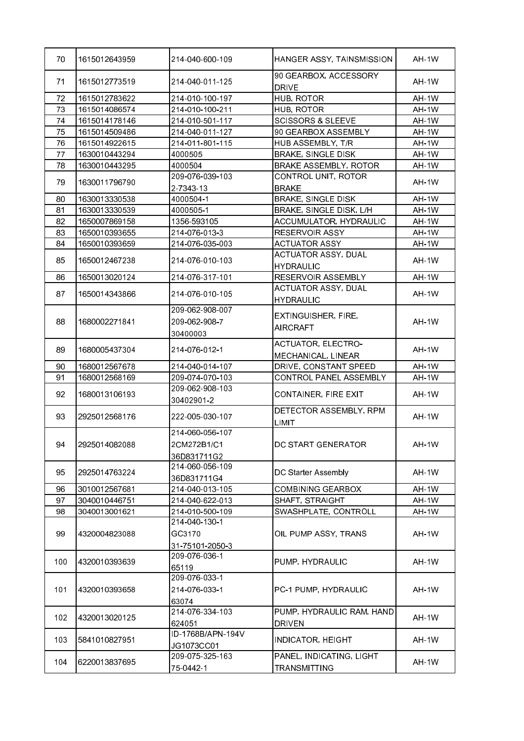| 70  | 1615012643959 | 214-040-600-109   | HANGER ASSY, TAINSMISSION             | AH-1W |
|-----|---------------|-------------------|---------------------------------------|-------|
| 71  | 1615012773519 | 214-040-011-125   | 90 GEARBOX, ACCESSORY<br><b>DRIVE</b> | AH-1W |
| 72  | 1615012783622 | 214-010-100-197   | HUB, ROTOR                            | AH-1W |
| 73  | 1615014086574 | 214-010-100-211   | HUB, ROTOR                            | AH-1W |
| 74  | 1615014178146 | 214-010-501-117   | <b>SCISSORS &amp; SLEEVE</b>          | AH-1W |
| 75  | 1615014509486 | 214-040-011-127   | 90 GEARBOX ASSEMBLY                   | AH-1W |
| 76  | 1615014922615 | 214-011-801-115   | HUB ASSEMBLY, T/R                     | AH-1W |
| 77  | 1630010443294 | 4000505           | <b>BRAKE, SINGLE DISK</b>             | AH-1W |
| 78  | 1630010443295 | 4000504           | <b>BRAKE ASSEMBLY, ROTOR</b>          | AH-1W |
|     |               | 209-076-039-103   | CONTROL UNIT, ROTOR                   |       |
| 79  | 1630011796790 | 2 7 3 4 3 1 3     | <b>BRAKE</b>                          | AH-1W |
| 80  | 1630013330538 | 4000504-1         | <b>BRAKE, SINGLE DISK</b>             | AH-1W |
| 81  | 1630013330539 | 4000505-1         | BRAKE, SINGLE DISK, L/H               | AH-1W |
| 82  | 1650007869158 | 1356 593105       | ACCUMULATOR, HYDRAULIC                | AH-1W |
| 83  | 1650010393655 | 214-076-013-3     | RESERVOIR ASSY                        | AH-1W |
| 84  | 1650010393659 | 214-076-035-003   | <b>ACTUATOR ASSY</b>                  | AH-1W |
|     |               |                   | ACTUATOR ASSY, DUAL                   |       |
| 85  | 1650012467238 | 214-076-010-103   | <b>HYDRAULIC</b>                      | AH-1W |
| 86  | 1650013020124 | 214-076-317-101   | RESERVOIR ASSEMBLY                    | AH-1W |
|     |               |                   | <b>ACTUATOR ASSY, DUAL</b>            |       |
| 87  | 1650014343866 | 214-076-010-105   | <b>HYDRAULIC</b>                      | AH-1W |
|     |               | 209-062-908-007   |                                       |       |
| 88  | 1680002271841 | 209-062-908-7     | EXTINGUISHER, FIRE,                   | AH-1W |
|     |               | 30400003          | <b>AIRCRAFT</b>                       |       |
|     |               |                   | <b>ACTUATOR, ELECTRO-</b>             |       |
| 89  | 1680005437304 | 214-076-012-1     | MECHANICAL, LINEAR                    | AH-1W |
| 90  | 1680012567678 | 214-040-014-107   | DRIVE, CONSTANT SPEED                 | AH-1W |
| 91  | 1680012568169 | 209-074-070-103   | CONTROL PANEL ASSEMBLY                | AH-1W |
|     |               | 209-062-908-103   |                                       |       |
| 92  | 1680013106193 | 30402901-2        | CONTAINER, FIRE EXIT                  | AH-1W |
|     |               |                   | DETECTOR ASSEMBLY, RPM                |       |
| 93  | 2925012568176 | 222-005-030-107   | <b>LIMIT</b>                          | AH-1W |
|     |               | 214-060-056-107   |                                       |       |
| 94  | 2925014082088 | 2CM272B1/C1       | DC START GENERATOR                    | AH-1W |
|     |               | 36D831711G2       |                                       |       |
|     |               | 214-060-056-109   |                                       |       |
| 95  | 2925014763224 | 36D831711G4       | DC Starter Assembly                   | AH-1W |
| 96  | 3010012567681 | 214-040-013-105   | <b>COMBINING GEARBOX</b>              | AH-1W |
| 97  | 3040010446751 | 214-040-622-013   | SHAFT, STRAIGHT                       | AH-1W |
| 98  | 3040013001621 | 214-010-500-109   | SWASHPLATE, CONTROLL                  | AH-1W |
|     |               | 214-040-130-1     |                                       |       |
| 99  | 4320004823088 | GC3170            | OIL PUMP ASSY, TRANS                  | AH-1W |
|     |               | 31-75101-2050-3   |                                       |       |
|     |               | 209-076-036-1     |                                       |       |
| 100 | 4320010393639 | 65119             | PUMP, HYDRAULIC                       | AH-1W |
|     |               | 209-076-033-1     |                                       |       |
| 101 | 4320010393658 | 214 076 033 1     | PC-1 PUMP, HYDRAULIC                  | AH-1W |
|     |               | 63074             |                                       |       |
|     |               | 214-076-334-103   | PUMP, HYDRAULIC RAM, HAND             |       |
| 102 | 4320013020125 | 624051            | <b>DRIVEN</b>                         | AH-1W |
|     |               |                   |                                       |       |
|     |               | ID-1768B/APN-194V |                                       |       |
| 103 | 5841010827951 | JG1073CC01        | <b>INDICATOR, HEIGHT</b>              | AH-1W |
| 104 | 6220013837695 | 209-075-325-163   | PANEL, INDICATING, LIGHT              | AH-1W |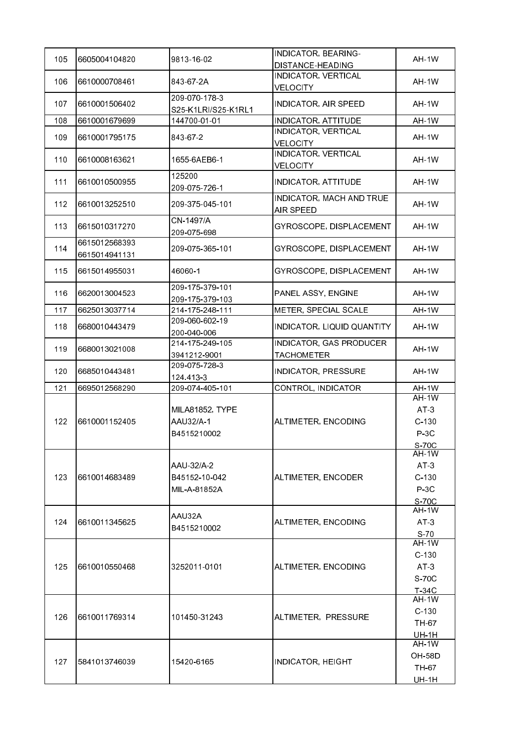| 105 | 6605004104820                  | 9813-16-02                                  | INDICATOR, BEARING-<br>DISTANCE-HEADING       | <b>AH-1W</b>                                           |
|-----|--------------------------------|---------------------------------------------|-----------------------------------------------|--------------------------------------------------------|
| 106 | 6610000708461                  | 843 67 2A                                   | INDICATOR, VERTICAL<br><b>VELOCITY</b>        | AH-1W                                                  |
| 107 | 6610001506402                  | 209-070-178-3<br>S25-K1LRI/S25-K1RL1        | <b>INDICATOR, AIR SPEED</b>                   | AH-1W                                                  |
| 108 | 6610001679699                  | 144700-01-01                                | <b>INDICATOR, ATTITUDE</b>                    | AH-1W                                                  |
| 109 | 6610001795175                  | 843-67-2                                    | <b>INDICATOR, VERTICAL</b><br><b>VELOCITY</b> | AH-1W                                                  |
| 110 | 6610008163621                  | 1655-6AEB6-1                                | INDICATOR, VERTICAL<br><b>VELOCITY</b>        | AH-1W                                                  |
| 111 | 6610010500955                  | 125200<br>209-075-726-1                     | <b>INDICATOR, ATTITUDE</b>                    | AH-1W                                                  |
| 112 | 6610013252510                  | 209-375-045-101                             | INDICATOR, MACH AND TRUE<br>AIR SPEED         | <b>AH-1W</b>                                           |
| 113 | 6615010317270                  | CN-1497/A<br>209-075-698                    | GYROSCOPE, DISPLACEMENT                       | AH-1W                                                  |
| 114 | 6615012568393<br>6615014941131 | 209-075-365-101                             | GYROSCOPE, DISPLACEMENT                       | AH-1W                                                  |
| 115 | 6615014955031                  | 46060-1                                     | GYROSCOPE, DISPLACEMENT                       | AH-1W                                                  |
| 116 | 6620013004523                  | 209-175-379-101<br>209-175-379-103          | PANEL ASSY, ENGINE                            | AH-1W                                                  |
| 117 | 6625013037714                  | 214-175-248-111                             | METER, SPECIAL SCALE                          | AH-1W                                                  |
| 118 | 6680010443479                  | 209-060-602-19<br>200-040-006               | INDICATOR, LIQUID QUANTITY                    | AH-1W                                                  |
| 119 | 6680013021008                  | 214-175-249-105<br>394 1212-9001            | INDICATOR, GAS PRODUCER<br><b>TACHOMETER</b>  | AH-1W                                                  |
| 120 | 6685010443481                  | 209-075-728-3<br>124 413 3                  | INDICATOR, PRESSURE                           | AH-1W                                                  |
| 121 | 6695012568290                  | 209-074-405-101                             | CONTROL, INDICATOR                            | AH-1W                                                  |
| 122 | 6610001152405                  | MILA81852, TYPE<br>AAU32/A-1<br>B4515210002 | ALTIMETER, ENCODING                           | AH-1W<br>AT <sub>3</sub><br>$C-130$<br>$P-3C$<br>S-70C |
| 123 | 6610014683489                  | AAU-32/A-2<br>B45152-10-042<br>MIL-A-81852A | ALTIMETER, ENCODER                            | AH-1W<br>$AT-3$<br>$C-130$<br>P 3C<br>S-70C            |
| 124 | 6610011345625                  | AAU32A<br>B4515210002                       | ALTIMETER, ENCODING                           | <b>AH-1W</b><br>AT <sub>3</sub><br>S <sub>70</sub>     |
| 125 | 6610010550468                  | 3252011-0101                                | ALTIMETER, ENCODING                           | AH-1W<br>$C-130$<br>$AT-3$<br>S-70C<br>$T-34C$         |
| 126 | 6610011769314                  | 101450-31243                                | ALTIMETER, PRESSURE                           | AH-1W<br>$C-130$<br>TH-67<br><b>UH-1H</b>              |
| 127 | 5841013746039                  | 15420-6165                                  | <b>INDICATOR, HEIGHT</b>                      | $AH-1W$<br><b>OH-58D</b><br>TH-67<br><u>UH-1H</u>      |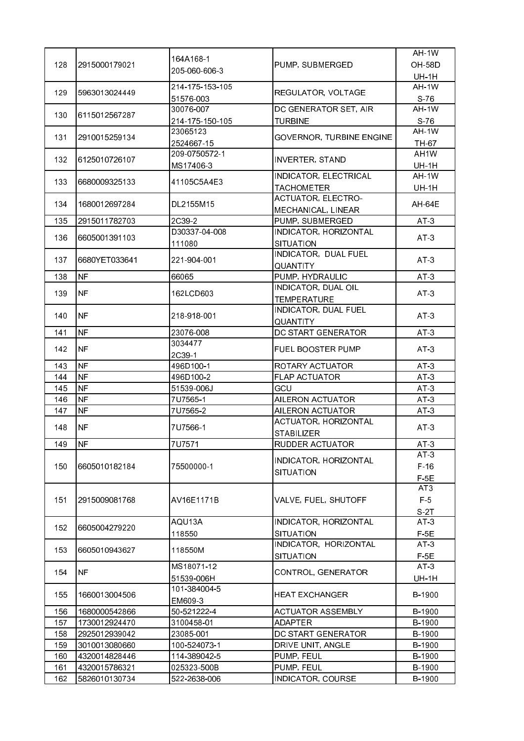|     |               |                 |                            | AH-1W             |
|-----|---------------|-----------------|----------------------------|-------------------|
| 128 | 2915000179021 | 164A168-1       | PUMP, SUBMERGED            | <b>OH-58D</b>     |
|     |               | 205 060 606 3   |                            | <b>UH-1H</b>      |
|     |               | 214-175-153-105 |                            | AH-1W             |
| 129 | 5963013024449 | 51576-003       | REGULATOR, VOLTAGE         | S.76              |
|     |               | 30076-007       | DC GENERATOR SET, AIR      | AH-1W             |
| 130 | 6115012567287 | 214 175 150 105 | <b>TURBINE</b>             | $S-76$            |
|     |               | 23065123        |                            | AH-1W             |
| 131 | 2910015259134 | 2524667-15      | GOVERNOR, TURBINE ENGINE   | TH-67             |
|     |               | 209 0750572-1   |                            | AH <sub>1</sub> W |
| 132 | 6125010726107 | MS17406-3       | <b>INVERTER, STAND</b>     | <b>UH-1H</b>      |
|     |               |                 | INDICATOR, ELECTRICAL      | AH-1W             |
| 133 | 6680009325133 | 41105C5A4E3     | <b>TACHOMETER</b>          | <b>UH-1H</b>      |
|     |               |                 | ACTUATOR, ELECTRO-         |                   |
| 134 | 1680012697284 | DL2155M15       | MECHANICAL, LINEAR         | <b>AH-64E</b>     |
| 135 | 2915011782703 | 2C39-2          | PUMP, SUBMERGED            | $AT-3$            |
|     |               | D30337-04-008   | INDICATOR, HORIZONTAL      |                   |
| 136 | 6605001391103 |                 | SITUATION                  | $AT-3$            |
|     |               | 111080          | INDICATOR, DUAL FUEL       |                   |
| 137 | 6680YET033641 | 221-904-001     |                            | $AT-3$            |
|     |               |                 | QUANTITY                   |                   |
| 138 | <b>NF</b>     | 66065           | PUMP, HYDRAULIC            | AT <sub>3</sub>   |
| 139 | <b>NF</b>     | 162LCD603       | <b>INDICATOR, DUAL OIL</b> | AT 3              |
|     |               |                 | <b>TEMPERATURE</b>         |                   |
| 140 | <b>NF</b>     | 218 918 001     | INDICATOR, DUAL FUEL       | $AT-3$            |
|     |               |                 | QUANTITY                   |                   |
| 141 | <b>NF</b>     | 23076-008       | DC START GENERATOR         | $AT-3$            |
| 142 | <b>NF</b>     | 3034477         | <b>FUEL BOOSTER PUMP</b>   | AT <sub>3</sub>   |
|     |               | 2C39-1          |                            |                   |
| 143 | <b>NF</b>     | 496D100-1       | ROTARY ACTUATOR            | $AT-3$            |
| 144 | <b>NF</b>     | 496D100-2       | <b>FLAP ACTUATOR</b>       | AT <sub>3</sub>   |
| 145 | <b>NF</b>     | 51539-006J      | GCU                        | AT <sub>3</sub>   |
| 146 | <b>NF</b>     | 7U7565-1        | AILERON ACTUATOR           | $AT-3$            |
| 147 | <b>NF</b>     | 7U7565-2        | AILERON ACTUATOR           | AT <sub>3</sub>   |
| 148 | <b>NF</b>     | 7U7566-1        | ACTUATOR, HORIZONTAL       | $AT-3$            |
|     |               |                 | <b>STABILIZER</b>          |                   |
| 149 | INF           | 7U7571          | RUDDER ACTUATOR            | AT 3              |
|     |               |                 | INDICATOR, HORIZONTAL      | $AT-3$            |
| 150 | 6605010182184 | 75500000-1      | SITUATION                  | $F-16$            |
|     |               |                 |                            | $F-5E$            |
|     |               |                 |                            | AT <sub>3</sub>   |
| 151 | 2915009081768 | AV16E1171B      | VALVE, FUEL, SHUTOFF       | F 5               |
|     |               |                 |                            | S-2T              |
| 152 | 6605004279220 | AQU13A          | INDICATOR, HORIZONTAL      | $AT-3$            |
|     |               | 118550          | <b>SITUATION</b>           | $F-5E$            |
| 153 | 6605010943627 | 118550M         | INDICATOR, HORIZONTAL      | AT <sub>3</sub>   |
|     |               |                 | <b>SITUATION</b>           | $F-5E$            |
|     | <b>NF</b>     | MS18071-12      |                            | AT3               |
| 154 |               | 51539-006H      | CONTROL, GENERATOR         | <b>UH-1H</b>      |
|     |               | 101-384004-5    |                            |                   |
| 155 | 1660013004506 | EM609-3         | <b>HEAT EXCHANGER</b>      | B-1900            |
| 156 | 1680000542866 | 50-521222-4     | <b>ACTUATOR ASSEMBLY</b>   | B-1900            |
| 157 | 1730012924470 | 3100458-01      | <b>ADAPTER</b>             | B-1900            |
| 158 | 2925012939042 | 23085-001       | DC START GENERATOR         | B-1900            |
| 159 | 3010013080660 | 100-524073-1    | DRIVE UNIT, ANGLE          | B-1900            |
| 160 | 4320014828446 | 114-389042-5    | PUMP, FEUL                 | B-1900            |
| 161 | 4320015786321 | 025323-500B     | PUMP, FEUL                 | B-1900            |
| 162 | 5826010130734 | 522-2638-006    | INDICATOR, COURSE          | B-1900            |
|     |               |                 |                            |                   |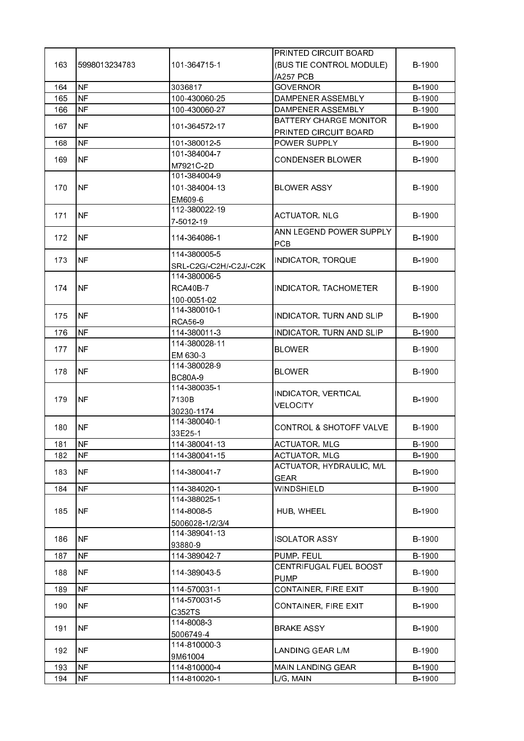|     |               |                        | PRINTED CIRCUIT BOARD              |               |
|-----|---------------|------------------------|------------------------------------|---------------|
| 163 | 5998013234783 | 101-364715-1           | (BUS TIE CONTROL MODULE)           | B-1900        |
|     |               |                        | /A257 PCB                          |               |
| 164 | <b>NF</b>     | 3036817                | <b>GOVERNOR</b>                    | B-1900        |
| 165 | <b>NF</b>     | 100-430060-25          | DAMPENER ASSEMBLY                  | B-1900        |
| 166 | <b>NF</b>     | 100-430060-27          | DAMPENER ASSEMBLY                  | B-1900        |
|     |               |                        | <b>BATTERY CHARGE MONITOR</b>      |               |
| 167 | <b>NF</b>     | 101-364572-17          | PRINTED CIRCUIT BOARD              | B-1900        |
| 168 | NF            | 101 380012 5           |                                    | B-1900        |
|     |               |                        | POWER SUPPLY                       |               |
| 169 | NF            | 101-384004-7           | <b>CONDENSER BLOWER</b>            | <b>B-1900</b> |
|     |               | M7921C-2D              |                                    |               |
|     |               | 101-384004-9           |                                    |               |
| 170 | NF            | 101-384004-13          | <b>BLOWER ASSY</b>                 | B-1900        |
|     |               | EM609-6                |                                    |               |
| 171 | NF.           | 112-380022-19          | <b>ACTUATOR, NLG</b>               | B-1900        |
|     |               | 7-5012-19              |                                    |               |
| 172 | INF.          |                        | ANN LEGEND POWER SUPPLY            | B-1900        |
|     |               | 114 364086 1           | <b>PCB</b>                         |               |
|     |               | 114-380005-5           |                                    |               |
| 173 | INF.          | SRL-C2G/-C2H/-C2J/-C2K | <b>INDICATOR, TORQUE</b>           | B-1900        |
|     |               | 114-380006-5           |                                    |               |
| 174 | NF            | <b>RCA40B-7</b>        | INDICATOR, TACHOMETER              | B-1900        |
|     |               | 100-0051-02            |                                    |               |
|     |               | 114 380010 1           |                                    |               |
| 175 | INF.          |                        | INDICATOR, TURN AND SLIP           | B-1900        |
|     |               | <b>RCA56-9</b>         |                                    |               |
| 176 | <b>NF</b>     | 114-380011-3           | INDICATOR, TURN AND SLIP           | B-1900        |
| 177 | <b>NF</b>     | 114-380028-11          | <b>BLOWER</b>                      | B-1900        |
|     |               | EM 630-3               |                                    |               |
| 178 | <b>NF</b>     | 114 380028 9           | <b>BLOWER</b>                      | B-1900        |
|     |               | <b>BC80A-9</b>         |                                    |               |
|     |               | 114-380035-1           | INDICATOR, VERTICAL                |               |
| 179 | <b>NF</b>     | 7130B                  | <b>VELOCITY</b>                    | B-1900        |
|     |               | 30230-1174             |                                    |               |
| 180 | <b>NF</b>     | 114 380040-1           | <b>CONTROL &amp; SHOTOFF VALVE</b> | B-1900        |
|     |               | 33E25-1                |                                    |               |
| 181 | INF           | 114-380041-13          | <b>ACTUATOR, MLG</b>               | B-1900        |
| 182 | <b>NF</b>     | 114-380041-15          | <b>ACTUATOR, MLG</b>               | B-1900        |
|     |               |                        | ACTUATOR, HYDRAULIC, M/L           |               |
| 183 | NF            | 114-380041-7           | <b>GEAR</b>                        | B-1900        |
| 184 | <b>NF</b>     | 114-384020-1           | WINDSHIELD                         | B-1900        |
|     |               | 114-388025-1           |                                    |               |
| 185 | NF            | 114-8008-5             | HUB, WHEEL                         | B-1900        |
|     |               |                        |                                    |               |
|     |               | 5006028-1/2/3/4        |                                    |               |
| 186 | NF.           | 114-389041-13          | ISOLATOR ASSY                      | B-1900        |
|     |               | 93880-9                |                                    |               |
| 187 | NF            | 114-389042-7           | PUMP, FEUL                         | B-1900        |
| 188 | NF            | 114-389043-5           | CENTRIFUGAL FUEL BOOST             | B-1900        |
|     |               |                        | <b>PUMP</b>                        |               |
| 189 | NF            | 114-570031-1           | CONTAINER, FIRE EXIT               | B-1900        |
| 190 | <b>NF</b>     | 114-570031-5           | CONTAINER, FIRE EXIT               | B-1900        |
|     |               | C352TS                 |                                    |               |
|     |               | 114-8008-3             |                                    |               |
| 191 | <b>NF</b>     | 5006749-4              | <b>BRAKE ASSY</b>                  | B-1900        |
|     |               | 114-810000-3           |                                    |               |
| 192 | NF            | 9M61004                | <b>LANDING GEAR L/M</b>            | B-1900        |
| 193 | <b>NF</b>     | 114-810000-4           | MAIN LANDING GEAR                  | B-1900        |
| 194 | <b>NF</b>     | 114-810020-1           | L/G, MAIN                          | B-1900        |
|     |               |                        |                                    |               |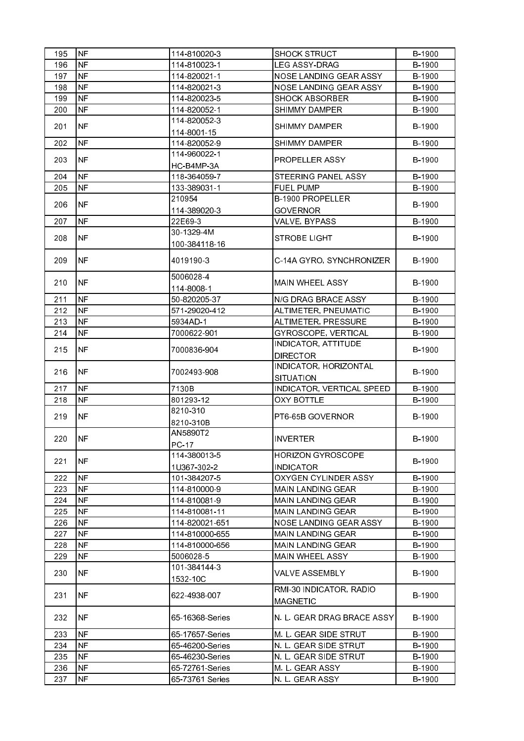| 195 | <b>NF</b>                | 114-810020-3    | <b>SHOCK STRUCT</b>        | B-1900 |
|-----|--------------------------|-----------------|----------------------------|--------|
| 196 | <b>NF</b>                | 114-810023-1    | <b>LEG ASSY-DRAG</b>       | B-1900 |
| 197 | <b>NF</b>                | 114-820021-1    | NOSE LANDING GEAR ASSY     | B-1900 |
| 198 | <b>NF</b>                | 114-820021-3    | NOSE LANDING GEAR ASSY     | B-1900 |
| 199 | <b>NF</b>                | 114-820023-5    | <b>SHOCK ABSORBER</b>      | B-1900 |
| 200 | <b>NF</b>                | 114-820052-1    | <b>SHIMMY DAMPER</b>       | B-1900 |
|     |                          | 114 820052 3    |                            |        |
| 201 | <b>NF</b>                | 114-8001-15     | <b>SHIMMY DAMPER</b>       | B-1900 |
| 202 | <b>NF</b>                | 114 820052 9    | <b>SHIMMY DAMPER</b>       | B-1900 |
|     |                          | 114 960022 1    |                            |        |
| 203 | <b>NF</b>                | HC-B4MP-3A      | <b>PROPELLER ASSY</b>      | B-1900 |
| 204 | <b>NF</b>                | 118-364059-7    | STEERING PANEL ASSY        | B-1900 |
| 205 | <b>NF</b>                | 133-389031-1    | <b>FUEL PUMP</b>           | B-1900 |
|     |                          | 210954          | <b>B-1900 PROPELLER</b>    |        |
| 206 | <b>NF</b>                | 114-389020-3    | <b>GOVERNOR</b>            | B-1900 |
| 207 | <b>NF</b>                | 22E69-3         | VALVE, BYPASS              | B-1900 |
|     |                          | 30-1329-4M      |                            |        |
| 208 | <b>NF</b>                | 100-384118-16   | <b>STROBE LIGHT</b>        | B-1900 |
|     |                          |                 |                            |        |
| 209 | <b>NF</b>                | 4019190-3       | C-14A GYRO, SYNCHRONIZER   | B-1900 |
|     |                          | 5006028-4       |                            |        |
| 210 | <b>NF</b>                | 114-8008-1      | MAIN WHEEL ASSY            | B-1900 |
| 211 | <b>NF</b>                | 50-820205-37    | N/G DRAG BRACE ASSY        | B-1900 |
| 212 | <b>NF</b>                | 571 29020 412   | ALTIMETER, PNEUMATIC       | B-1900 |
| 213 | <b>NF</b>                | 5934AD-1        | ALTIMETER, PRESSURE        | B-1900 |
| 214 | <b>NF</b>                | 7000622-901     | GYROSCOPE, VERTICAL        | B-1900 |
|     |                          |                 | INDICATOR, ATTITUDE        |        |
| 215 | <b>NF</b>                | 7000836-904     | <b>DIRECTOR</b>            | B-1900 |
|     |                          |                 | INDICATOR, HORIZONTAL      |        |
| 216 | <b>NF</b>                | 7002493-908     | <b>SITUATION</b>           | B-1900 |
| 217 | <b>NF</b>                | 7130B           | INDICATOR, VERTICAL SPEED  | B-1900 |
| 218 | <b>NF</b>                | 801293-12       | <b>OXY BOTTLE</b>          | B-1900 |
|     |                          | 8210-310        |                            |        |
| 219 | NF.                      | 8210-310B       | PT6-65B GOVERNOR           | B-1900 |
|     |                          | AN5890T2        |                            |        |
| 220 | $\overline{\mathsf{NF}}$ | PC 17           | <b>INVERTER</b>            | B-1900 |
|     |                          | 114-380013-5    | HORIZON GYROSCOPE          |        |
| 221 | NF                       | 1U367-302-2     | <b>INDICATOR</b>           | B-1900 |
| 222 | <b>NF</b>                | 101-384207-5    | OXYGEN CYLINDER ASSY       | B-1900 |
| 223 | NF.                      | 114-810000-9    | <b>MAIN LANDING GEAR</b>   | B-1900 |
| 224 | <b>NF</b>                | 114-810081-9    | <b>MAIN LANDING GEAR</b>   | B-1900 |
| 225 | <b>NF</b>                | 114-810081-11   | <b>MAIN LANDING GEAR</b>   | B-1900 |
| 226 | <b>NF</b>                | 114-820021-651  | NOSE LANDING GEAR ASSY     | B-1900 |
| 227 | NF                       | 114-810000-655  | <b>MAIN LANDING GEAR</b>   | B-1900 |
| 228 | NF.                      | 114-810000-656  | <b>MAIN LANDING GEAR</b>   | B-1900 |
| 229 | <b>NF</b>                | 5006028 5       | MAIN WHEEL ASSY            | B-1900 |
|     |                          | 101-384144-3    |                            |        |
| 230 | <b>NF</b>                | 1532-10C        | VALVE ASSEMBLY             | B-1900 |
| 231 | <b>NF</b>                | 622-4938-007    | RMI-30 INDICATOR, RADIO    | B-1900 |
|     |                          |                 | <b>MAGNETIC</b>            |        |
| 232 | <b>NF</b>                | 65 16368 Series | N. L. GEAR DRAG BRACE ASSY | B-1900 |
| 233 | <b>NF</b>                | 65-17657-Series | M. L. GEAR SIDE STRUT      | B-1900 |
| 234 | <b>NF</b>                | 65 46200 Series | N. L. GEAR SIDE STRUT      | B-1900 |
| 235 | <b>NF</b>                | 65-46230-Series | N. L. GEAR SIDE STRUT      | B-1900 |
| 236 | <b>NF</b>                | 65-72761-Series | M. L. GEAR ASSY            | B-1900 |
| 237 | NF.                      | 65-73761 Series | N. L. GEAR ASSY            | B-1900 |
|     |                          |                 |                            |        |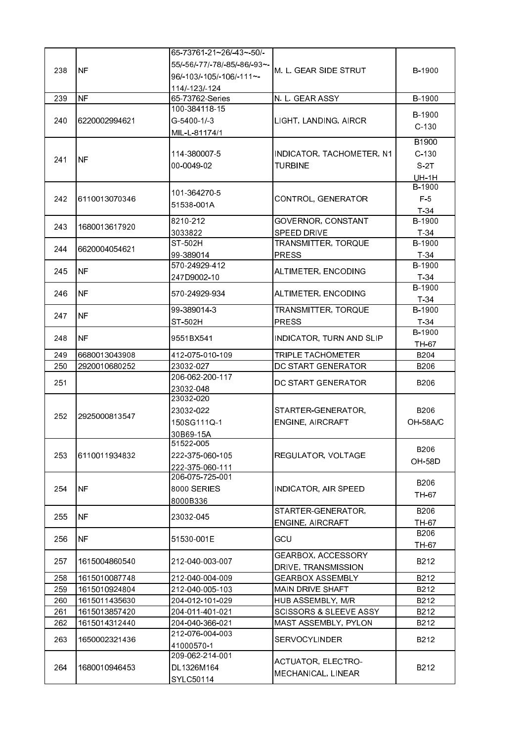|     |               | 65-73761-21~26/-43~-50/-     |                                   |               |
|-----|---------------|------------------------------|-----------------------------------|---------------|
|     |               | 55/-56/-77/-78/-85/-86/-93~- |                                   |               |
| 238 | <b>NF</b>     | 96/-103/-105/-106/-111~-     | IM. L. GEAR SIDE STRUT            | B-1900        |
|     |               | 114/-123/-124                |                                   |               |
| 239 | <b>NF</b>     | 65-73762-Series              | N. L. GEAR ASSY                   | B-1900        |
|     |               | 100-384118-15                |                                   |               |
| 240 | 6220002994621 | G-5400-1/-3                  | LIGHT, LANDING, AIRCR             | B-1900        |
|     |               |                              |                                   | $C-130$       |
|     |               | MIL-L-81174/1                |                                   | B1900         |
|     |               |                              |                                   |               |
| 241 | INF           | 114-380007-5                 | INDICATOR, TACHOMETER, N1         | $C-130$       |
|     |               | 00 0049 02                   | <b>TURBINE</b>                    | S 2T          |
|     |               |                              |                                   | <b>UH-1H</b>  |
|     |               | 101 364270 5                 |                                   | B-1900        |
| 242 | 6110013070346 | 51538-001A                   | CONTROL, GENERATOR                | F 5           |
|     |               |                              |                                   | T 34          |
| 243 | 1680013617920 | 8210-212                     | GOVERNOR, CONSTANT                | B-1900        |
|     |               | 3033822                      | SPEED DRIVE                       | $T-34$        |
|     |               | ST-502H                      | TRANSMITTER, TORQUE               | B-1900        |
| 244 | 6620004054621 | 99-389014                    | <b>PRESS</b>                      | $T-34$        |
|     |               | 570-24929-412                |                                   | B-1900        |
| 245 | <b>NF</b>     | 247D9002-10                  | ALTIMETER, ENCODING               | $T-34$        |
|     |               |                              |                                   | B-1900        |
| 246 | INF.          | 570-24929-934                | ALTIMETER, ENCODING               | $T-34$        |
|     |               | 99-389014-3                  | TRANSMITTER, TORQUE               | B-1900        |
| 247 | <b>NF</b>     | ST-502H                      | <b>PRESS</b>                      | $T-34$        |
|     |               |                              |                                   | B-1900        |
| 248 | INF.          | 9551BX541                    | INDICATOR, TURN AND SLIP          | TH-67         |
| 249 | 6680013043908 | 412-075-010-109              | TRIPLE TACHOMETER                 | <b>B204</b>   |
| 250 | 2920010680252 | 23032-027                    | DC START GENERATOR                | B206          |
|     |               | 206-062-200-117              |                                   |               |
| 251 |               |                              | DC START GENERATOR                | B206          |
|     |               | 23032-048<br>23032-020       |                                   |               |
|     |               |                              |                                   |               |
| 252 | 2925000813547 | 23032-022                    | STARTER-GENERATOR,                | <b>B206</b>   |
|     |               | 150SG111Q-1                  | ENGINE, AIRCRAFT                  | OH-58A/C      |
|     |               | 30B69-15A                    |                                   |               |
|     |               | 51522-005                    |                                   | B206          |
| 253 | 6110011934832 | 222-375-060-105              | REGULATOR, VOLTAGE                | <b>OH-58D</b> |
|     |               | 222-375-060-111              |                                   |               |
|     |               | 206-075-725-001              |                                   | B206          |
| 254 | <b>NF</b>     | 8000 SERIES                  | <b>INDICATOR, AIR SPEED</b>       | TH 67         |
|     |               | 8000B336                     |                                   |               |
|     |               |                              | STARTER-GENERATOR,                | B206          |
| 255 | <b>NF</b>     | 23032-045                    | ENGINE, AIRCRAFT                  | TH-67         |
|     |               |                              |                                   | <b>B206</b>   |
| 256 | <b>NF</b>     | 51530-001E                   | GCU                               | TH-67         |
|     |               |                              | GEARBOX, ACCESSORY                |               |
| 257 | 1615004860540 | 212-040-003-007              | DRIVE, TRANSMISSION               | B212          |
| 258 | 1615010087748 | 212-040-004-009              | <b>GEARBOX ASSEMBLY</b>           | B212          |
| 259 | 1615010924804 | 212-040-005-103              | MAIN DRIVE SHAFT                  | B212          |
| 260 | 1615011435630 | 204-012-101-029              | HUB ASSEMBLY, M/R                 | B212          |
| 261 | 1615013857420 | 204-011-401-021              | <b>SCISSORS &amp; SLEEVE ASSY</b> | B212          |
| 262 | 1615014312440 | 204-040-366-021              | MAST ASSEMBLY, PYLON              | B212          |
|     |               | 212-076-004-003              |                                   |               |
| 263 | 1650002321436 | 41000570-1                   | <b>SERVOCYLINDER</b>              | B212          |
|     |               | 209-062-214-001              |                                   |               |
|     |               |                              | ACTUATOR, ELECTRO-                |               |
| 264 | 1680010946453 | DL1326M164                   | MECHANICAL, LINEAR                | B212          |
|     |               | SYLC50114                    |                                   |               |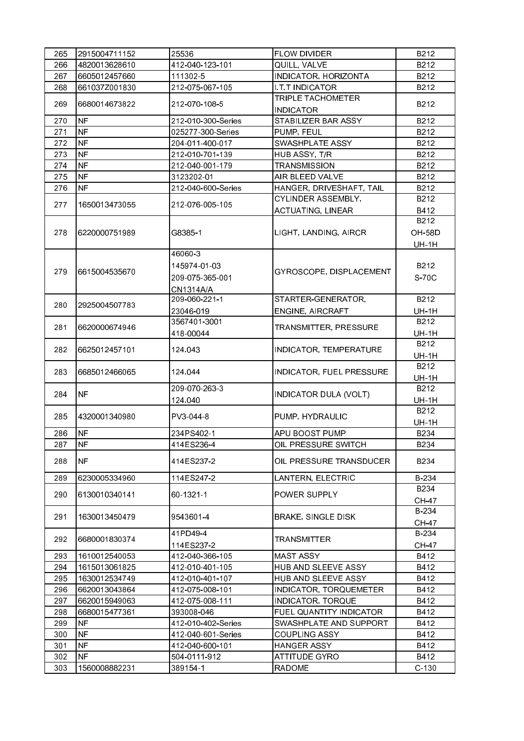| 265 | 2915004711152  | 25536              | <b>FLOW DIVIDER</b>                   | B212                 |
|-----|----------------|--------------------|---------------------------------------|----------------------|
|     | 4820013628610  | 412-040-123-101    | QUILL, VALVE                          | B212                 |
| 266 |                |                    |                                       |                      |
| 267 | 6605012457660  | 111302-5           | INDICATOR, HORIZONTA                  | B212                 |
| 268 | 661037Z001830  | 212-075-067-105    | <b>I T T INDICATOR</b>                | B212                 |
| 269 | 6680014673822  | 212-070-108-5      | TRIPLE TACHOMETER<br><b>INDICATOR</b> | B212                 |
| 270 | <b>NF</b>      | 212-010-300-Series | STABILIZER BAR ASSY                   | B212                 |
| 271 | <b>NF</b>      | 025277-300-Series  | PUMP, FEUL                            | B212                 |
| 272 | NF <sup></sup> | 204-011-400-017    | SWASHPLATE ASSY                       | B212                 |
| 273 | <b>NF</b>      | 212-010-701-139    | HUB ASSY, T/R                         | B212                 |
| 274 | NF             | 212-040-001-179    | <b>TRANSMISSION</b>                   | B212                 |
| 275 | NF             | 3123202-01         | AIR BLEED VALVE                       | B212                 |
| 276 | <b>NF</b>      | 212-040-600-Series | HANGER, DRIVESHAFT, TAIL              | B212                 |
|     |                |                    | CYLINDER ASSEMBLY,                    | B212                 |
| 277 | 1650013473055  | 212-076-005-105    | ACTUATING, LINEAR                     | B412                 |
|     |                |                    |                                       | B212                 |
| 278 | 6220000751989  | G8385-1            | LIGHT, LANDING, AIRCR                 | <b>OH-58D</b>        |
|     |                |                    |                                       |                      |
|     |                | 46060-3            |                                       | <b>UH-1H</b>         |
|     |                | 145974-01-03       |                                       | B212                 |
| 279 | 6615004535670  |                    | GYROSCOPE, DISPLACEMENT               |                      |
|     |                | 209-075-365-001    |                                       | S-70C                |
|     |                | CN1314A/A          |                                       |                      |
| 280 | 2925004507783  | 209-060-221-1      | STARTER-GENERATOR,                    | B212                 |
|     |                | 23046-019          | ENGINE, AIRCRAFT                      | <b>UH-1H</b>         |
| 281 | 6620000674946  | 3567401-3001       | TRANSMITTER, PRESSURE                 | B212                 |
|     |                | 418-00044          |                                       | <b>UH-1H</b>         |
| 282 | 6625012457101  | 124.043            | INDICATOR, TEMPERATURE                | B212                 |
|     |                |                    |                                       | <b>UH-1H</b>         |
| 283 | 6685012466065  | 124.044            | INDICATOR, FUEL PRESSURE              | B212                 |
|     |                | 209-070-263-3      |                                       | <b>UH-1H</b><br>B212 |
| 284 | <b>NF</b>      |                    | <b>INDICATOR DULA (VOLT)</b>          |                      |
|     |                | 124.040            |                                       | <b>UH-1H</b>         |
| 285 | 4320001340980  | PV3-044-8          | PUMP, HYDRAULIC                       | B212                 |
|     |                |                    |                                       | <b>UH-1H</b>         |
| 286 | <b>NF</b>      | 234PS402-1         | APU BOOST PUMP                        | B234                 |
| 287 | NF)            | 414ES236-4         | OIL PRESSURE SWITCH                   | B234                 |
| 288 | NF.            | 414ES237-2         | OIL PRESSURE TRANSDUCER               | B234                 |
| 289 | 6230005334960  | 114ES247-2         | LANTERN, ELECTRIC                     | B-234                |
|     |                |                    |                                       | B234                 |
| 290 | 6130010340141  | 60-1321-1          | POWER SUPPLY                          | <b>CH-47</b>         |
|     |                |                    |                                       | B-234                |
| 291 | 1630013450479  | 9543601-4          | <b>BRAKE, SINGLE DISK</b>             | <b>CH-47</b>         |
|     |                | 41PD49-4           |                                       | B-234                |
| 292 | 6680001830374  | 114ES237-2         | TRANSMITTER                           | CH 47                |
| 293 | 1610012540053  | 412-040-366-105    | <b>MAST ASSY</b>                      | B412                 |
| 294 | 1615013061825  | 412-010-401-105    | HUB AND SLEEVE ASSY                   | B412                 |
| 295 | 1630012534749  | 412-010-401-107    | HUB AND SLEEVE ASSY                   | B412                 |
| 296 | 6620013043864  | 412-075-008-101    | INDICATOR, TORQUEMETER                | B412                 |
| 297 | 6620015949063  | 412-075-008-111    | INDICATOR, TORQUE                     | B412                 |
| 298 | 6680015477361  | 393008-046         | FUEL QUANTITY INDICATOR               | B412                 |
| 299 | <b>NF</b>      | 412-010-402-Series | SWASHPLATE AND SUPPORT                | B412                 |
| 300 | <b>NF</b>      | 412-040-601-Series | <b>COUPLING ASSY</b>                  | B412                 |
| 301 | <b>NF</b>      | 412-040-600-101    | <b>HANGER ASSY</b>                    | B412                 |
| 302 | <b>NF</b>      | 504-0111-912       | ATTITUDE GYRO                         | B412                 |
| 303 | 1560008882231  | 389154-1           | <b>RADOME</b>                         | $C-130$              |
|     |                |                    |                                       |                      |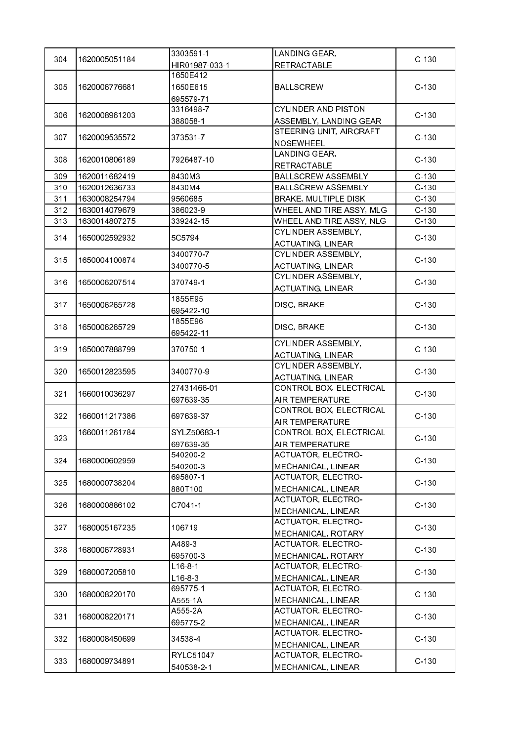|     |               | 3303591-1      | LANDING GEAR,                                         |         |
|-----|---------------|----------------|-------------------------------------------------------|---------|
| 304 | 1620005051184 | HIR01987-033-1 | <b>RETRACTABLE</b>                                    | $C-130$ |
|     |               | 1650E412       |                                                       |         |
| 305 | 1620006776681 | 1650E615       | <b>BALLSCREW</b>                                      | $C-130$ |
|     |               | 695579-71      |                                                       |         |
|     |               | 3316498-7      | <b>CYLINDER AND PISTON</b>                            |         |
| 306 | 1620008961203 | 388058-1       | ASSEMBLY, LANDING GEAR                                | $C-130$ |
|     |               |                | STEERING UNIT, AIRCRAFT                               |         |
| 307 | 1620009535572 | 373531-7       | <b>NOSEWHEEL</b>                                      | $C-130$ |
|     |               |                | LANDING GEAR,                                         |         |
| 308 | 1620010806189 | 7926487-10     | <b>RETRACTABLE</b>                                    | $C-130$ |
| 309 | 1620011682419 | 8430M3         | <b>BALLSCREW ASSEMBLY</b>                             | $C-130$ |
| 310 | 1620012636733 | 8430M4         | <b>BALLSCREW ASSEMBLY</b>                             | $C-130$ |
| 311 | 1630008254794 | 9560685        | <b>BRAKE, MULTIPLE DISK</b>                           | $C-130$ |
| 312 | 1630014079679 | 386023-9       | WHEEL AND TIRE ASSY, MLG                              | $C-130$ |
| 313 | 1630014807275 | 339242-15      | WHEEL AND TIRE ASSY, NLG                              | $C-130$ |
|     |               |                | CYLINDER ASSEMBLY,                                    |         |
| 314 | 1650002592932 | 5C5794         | <b>ACTUATING, LINEAR</b>                              | $C-130$ |
|     |               | 3400770-7      | CYLINDER ASSEMBLY,                                    |         |
| 315 | 1650004100874 |                |                                                       | $C-130$ |
|     |               | 3400770-5      | <b>ACTUATING, LINEAR</b><br><b>CYLINDER ASSEMBLY,</b> |         |
| 316 | 1650006207514 | 370749-1       |                                                       | $C-130$ |
|     |               |                | <b>ACTUATING, LINEAR</b>                              |         |
| 317 | 1650006265728 | 1855E95        | DISC, BRAKE                                           | $C-130$ |
|     |               | 695422-10      |                                                       |         |
| 318 | 1650006265729 | 1855E96        | DISC, BRAKE                                           | $C-130$ |
|     |               | 695422-11      |                                                       |         |
| 319 | 1650007888799 | 370750-1       | <b>CYLINDER ASSEMBLY,</b>                             | $C-130$ |
|     |               |                | <b>ACTUATING, LINEAR</b>                              |         |
| 320 | 1650012823595 | 3400770-9      | CYLINDER ASSEMBLY,                                    | $C-130$ |
|     |               |                | <b>ACTUATING, LINEAR</b>                              |         |
| 321 | 1660010036297 | 27431466-01    | CONTROL BOX, ELECTRICAL                               | $C-130$ |
|     |               | 697639-35      | AIR TEMPERATURE                                       |         |
| 322 | 1660011217386 | 697639-37      | CONTROL BOX, ELECTRICAL                               | $C-130$ |
|     |               |                | AIR TEMPERATURE                                       |         |
| 323 | 1660011261784 | SYLZ50683-1    | CONTROL BOX, ELECTRICAL                               | $C-130$ |
|     |               | 697639-35      | AIR TEMPERATURE                                       |         |
| 324 | 1680000602959 | 540200-2       | ACTUATOR, ELECTRO-                                    | $C-130$ |
|     |               | 540200-3       | MECHANICAL, LINEAR                                    |         |
| 325 | 1680000738204 | 695807-1       | ACTUATOR, ELECTRO-                                    | $C-130$ |
|     |               | 880T100        | MECHANICAL, LINEAR                                    |         |
| 326 | 1680000886102 | C7041-1        | <b>ACTUATOR, ELECTRO-</b>                             | $C-130$ |
|     |               |                | MECHANICAL, LINEAR                                    |         |
| 327 | 1680005167235 |                | <b>ACTUATOR, ELECTRO-</b>                             | $C-130$ |
|     |               | 106719         | MECHANICAL, ROTARY                                    |         |
|     |               | A489-3         | <b>ACTUATOR, ELECTRO-</b>                             |         |
| 328 | 1680006728931 | 695700-3       | MECHANICAL, ROTARY                                    | $C-130$ |
|     |               | $L16-8-1$      | <b>ACTUATOR, ELECTRO-</b>                             |         |
| 329 | 1680007205810 | $L16 - 8 - 3$  | MECHANICAL, LINEAR                                    | $C-130$ |
|     |               | 695775-1       | <b>ACTUATOR, ELECTRO-</b>                             |         |
| 330 | 1680008220170 | A555-1A        | MECHANICAL, LINEAR                                    | $C-130$ |
|     |               | A555-2A        | ACTUATOR, ELECTRO-                                    |         |
| 331 | 1680008220171 | 695775-2       | MECHANICAL, LINEAR                                    | $C-130$ |
|     |               |                | <b>ACTUATOR, ELECTRO-</b>                             |         |
| 332 | 1680008450699 | 34538-4        | MECHANICAL, LINEAR                                    | $C-130$ |
|     |               | RYLC51047      | <b>ACTUATOR, ELECTRO-</b>                             |         |
| 333 | 1680009734891 |                |                                                       | $C-130$ |
|     |               | 540538-2-1     | MECHANICAL, LINEAR                                    |         |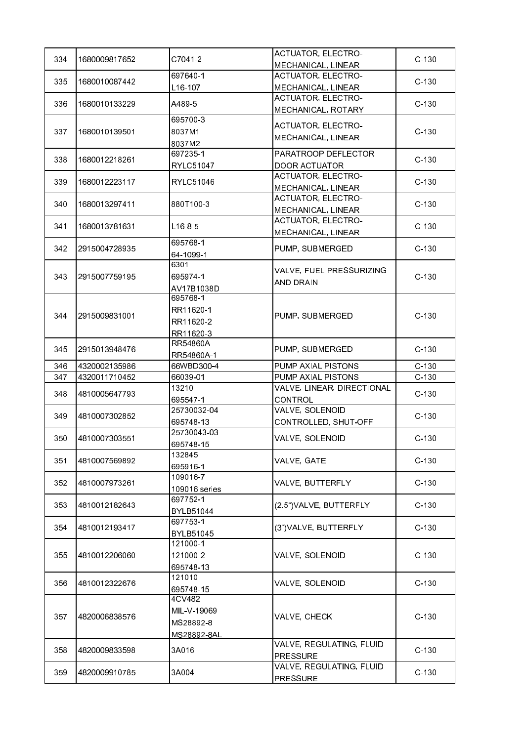| 334 | 1680009817652 | C7041-2          | ACTUATOR, ELECTRO-         | $C-130$ |
|-----|---------------|------------------|----------------------------|---------|
|     |               |                  | MECHANICAL, LINEAR         |         |
| 335 | 1680010087442 | 697640-1         | <b>ACTUATOR, ELECTRO-</b>  | $C-130$ |
|     |               | L16-107          | MECHANICAL, LINEAR         |         |
| 336 | 1680010133229 | A489-5           | <b>ACTUATOR, ELECTRO-</b>  | $C-130$ |
|     |               |                  | MECHANICAL, ROTARY         |         |
|     |               | 695700-3         | <b>ACTUATOR, ELECTRO-</b>  |         |
| 337 | 1680010139501 | 8037M1           | MECHANICAL, LINEAR         | $C-130$ |
|     |               | 8037M2           |                            |         |
| 338 | 1680012218261 | 697235-1         | PARATROOP DEFLECTOR        | $C-130$ |
|     |               | <b>RYLC51047</b> | <b>DOOR ACTUATOR</b>       |         |
| 339 | 1680012223117 | <b>RYLC51046</b> | <b>ACTUATOR, ELECTRO-</b>  | $C-130$ |
|     |               |                  | MECHANICAL, LINEAR         |         |
| 340 | 1680013297411 | 880T100-3        | <b>ACTUATOR, ELECTRO-</b>  | $C-130$ |
|     |               |                  | MECHANICAL, LINEAR         |         |
| 341 | 1680013781631 | $L16 - 8 - 5$    | <b>ACTUATOR, ELECTRO-</b>  | $C-130$ |
|     |               |                  | MECHANICAL, LINEAR         |         |
| 342 | 2915004728935 | 695768-1         | PUMP, SUBMERGED            | $C-130$ |
|     |               | 64-1099-1        |                            |         |
|     |               | 6301             | VALVE, FUEL PRESSURIZING   |         |
| 343 | 2915007759195 | 695974-1         | AND DRAIN                  | $C-130$ |
|     |               | AV17B1038D       |                            |         |
|     |               | 695768-1         |                            |         |
| 344 | 2915009831001 | RR11620-1        | PUMP, SUBMERGED            | $C-130$ |
|     |               | RR11620-2        |                            |         |
|     |               | RR11620-3        |                            |         |
| 345 |               | RR54860A         |                            |         |
|     | 2915013948476 | RR54860A-1       | PUMP, SUBMERGED            | $C-130$ |
| 346 | 4320002135986 | 66WBD300-4       | PUMP AXIAL PISTONS         | $C-130$ |
| 347 | 4320011710452 | 66039-01         | PUMP AXIAL PISTONS         | $C-130$ |
|     |               | 13210            | VALVE, LINEAR, DIRECTIONAL | $C-130$ |
| 348 | 4810005647793 | 695547-1         | <b>CONTROL</b>             |         |
| 349 | 4810007302852 | 25730032-04      | VALVE, SOLENOID            | $C-130$ |
|     |               | 695748-13        | CONTROLLED, SHUT-OFF       |         |
|     |               | 25730043-03      | VALVE, SOLENOID            | $C-130$ |
| 350 | 4810007303551 | 695748-15        |                            |         |
|     |               | 132845           |                            |         |
| 351 | 4810007569892 | 695916-1         | VALVE, GATE                | $C-130$ |
|     |               | 109016-7         |                            |         |
| 352 | 4810007973261 | 109016 series    | VALVE, BUTTERFLY           | $C-130$ |
|     |               | 697752-1         |                            |         |
| 353 | 4810012182643 | BYLB51044        | (2.5") VALVE, BUTTERFLY    | $C-130$ |
|     |               | 697753-1         |                            | $C-130$ |
| 354 | 4810012193417 | BYLB51045        | (3")VALVE, BUTTERFLY       |         |
|     |               | 121000-1         |                            |         |
| 355 | 4810012206060 | 121000-2         | VALVE, SOLENOID            | $C-130$ |
|     |               | 695748-13        |                            |         |
|     |               | 121010           |                            |         |
| 356 | 4810012322676 | 695748-15        | VALVE, SOLENOID            | $C-130$ |
|     |               | 4CV482           |                            |         |
|     |               | MIL-V-19069      |                            |         |
| 357 | 4820006838576 | MS28892-8        | VALVE, CHECK               | $C-130$ |
|     |               | MS28892-8AL      |                            |         |
|     |               |                  | VALVE, REGULATING, FLUID   |         |
| 358 | 4820009833598 | 3A016            | <b>PRESSURE</b>            | $C-130$ |
|     |               |                  | VALVE, REGULATING, FLUID   |         |
| 359 | 4820009910785 | 3A004            | <b>PRESSURE</b>            | $C-130$ |
|     |               |                  |                            |         |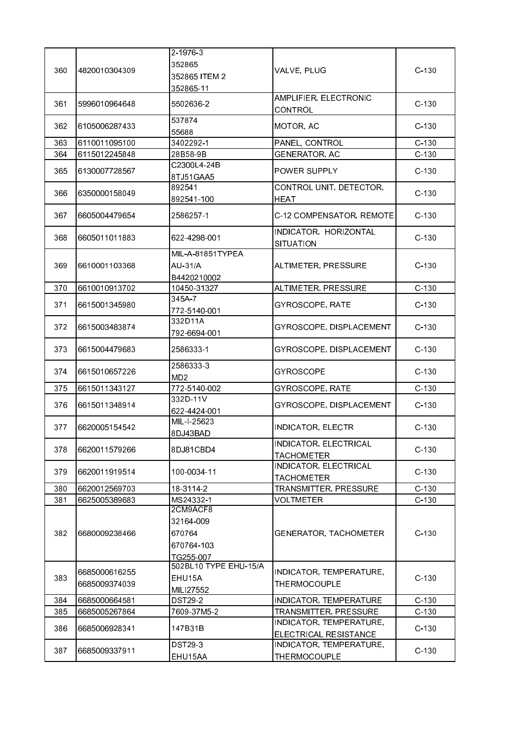|     |               | 2-1976-3              |                              |         |
|-----|---------------|-----------------------|------------------------------|---------|
|     |               | 352865                |                              |         |
| 360 | 4820010304309 | 352865 ITEM 2         | VALVE, PLUG                  | $C-130$ |
|     |               | 352865-11             |                              |         |
|     |               |                       | AMPLIFIER, ELECTRONIC        |         |
| 361 | 5996010964648 | 5502636 2             | CONTROL                      | $C-130$ |
|     |               | 537874                |                              |         |
| 362 | 6105006287433 | 55688                 | MOTOR, AC                    | $C-130$ |
| 363 | 6110011095100 | 3402292-1             | PANEL, CONTROL               | $C-130$ |
| 364 | 6115012245848 | 28B58-9B              | <b>GENERATOR, AC</b>         | $C-130$ |
|     |               | C2300L4-24B           |                              |         |
| 365 | 6130007728567 |                       | POWER SUPPLY                 | $C-130$ |
|     |               | 8TJ51GAA5<br>892541   | CONTROL UNIT, DETECTOR,      |         |
| 366 | 6350000158049 |                       |                              | $C-130$ |
|     |               | 892541-100            | <b>HEAT</b>                  |         |
| 367 | 6605004479654 | 2586257-1             | C-12 COMPENSATOR, REMOTE     | $C-130$ |
|     |               |                       |                              |         |
| 368 | 6605011011883 | 622-4298-001          | INDICATOR, HORIZONTAL        | $C-130$ |
|     |               | MIL-A-81851TYPEA      | <b>SITUATION</b>             |         |
|     |               |                       |                              |         |
| 369 | 6610001103368 | <b>AU-31/A</b>        | ALTIMETER, PRESSURE          | $C-130$ |
|     |               | B4420210002           |                              |         |
| 370 | 6610010913702 | 10450-31327           | ALTIMETER, PRESSURE          | $C-130$ |
| 371 | 6615001345980 | 345A7                 | GYROSCOPE, RATE              | $C-130$ |
|     |               | 772-5140-001          |                              |         |
| 372 | 6615003483874 | 332D11A               | GYROSCOPE, DISPLACEMENT      | $C-130$ |
|     |               | 792-6694-001          |                              |         |
| 373 | 6615004479683 | 2586333-1             | GYROSCOPE, DISPLACEMENT      | $C-130$ |
|     |               |                       |                              |         |
| 374 | 6615010657226 | 25863333              | <b>GYROSCOPE</b>             | $C-130$ |
|     |               | MD <sub>2</sub>       |                              |         |
| 375 | 6615011343127 | 772-5140-002          | GYROSCOPE, RATE              | $C-130$ |
| 376 | 6615011348914 | 332D-11V              | GYROSCOPE, DISPLACEMENT      | $C-130$ |
|     |               | 622-4424-001          |                              |         |
| 377 | 6620005154542 | MIL-I-25623           | <b>INDICATOR, ELECTR</b>     | $C-130$ |
|     |               | 8DJ43BAD              |                              |         |
| 378 | 6620011579266 | 8DJ81CBD4             | INDICATOR, ELECTRICAL        | $C-130$ |
|     |               |                       | <b>TACHOMETER</b>            |         |
| 379 | 6620011919514 | 100-0034-11           | INDICATOR, ELECTRICAL        | $C-130$ |
|     |               |                       | <b>TACHOMETER</b>            |         |
| 380 | 6620012569703 | 18-3114-2             | TRANSMITTER, PRESSURE        | $C-130$ |
| 381 | 6625005389683 | MS24332-1             | VOLTMETER                    | $C-130$ |
|     |               | 2CM9ACF8              |                              |         |
|     |               | 32164 009             |                              |         |
| 382 | 6680009238466 | 670764                | <b>GENERATOR, TACHOMETER</b> | $C-130$ |
|     |               | 670764-103            |                              |         |
|     |               | TG255-007             |                              |         |
|     | 6685000616255 | 502BL10 TYPE EHU-15/A | INDICATOR, TEMPERATURE,      |         |
| 383 | 6685009374039 | EHU15A                | THERMOCOUPLE                 | $C-130$ |
|     |               | MILI27552             |                              |         |
| 384 | 6685000664581 | <b>DST29-2</b>        | INDICATOR, TEMPERATURE       | $C-130$ |
| 385 | 6685005267864 | 7609-37M5-2           | TRANSMITTER, PRESSURE        | $C-130$ |
| 386 | 6685006928341 | 147B31B               | INDICATOR, TEMPERATURE,      | $C-130$ |
|     |               |                       | ELECTRICAL RESISTANCE        |         |
| 387 | 6685009337911 | <b>DST29-3</b>        | INDICATOR, TEMPERATURE,      | $C-130$ |
|     |               | EHU15AA               | THERMOCOUPLE                 |         |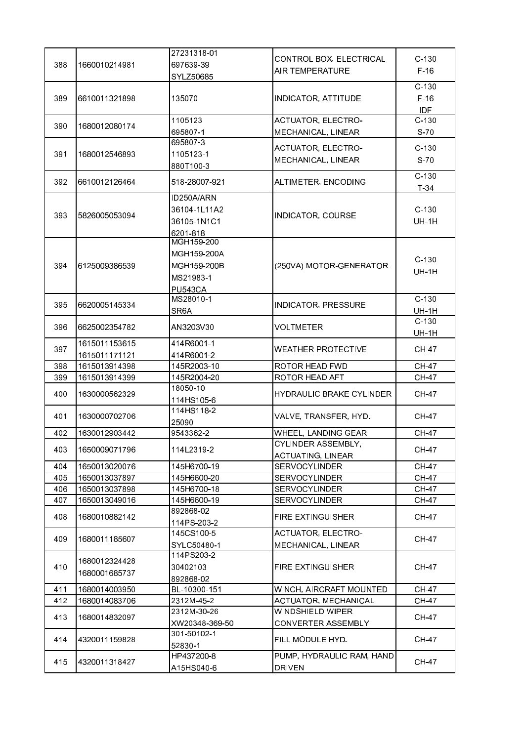|     |               | 27231318-01              |                                            |                   |
|-----|---------------|--------------------------|--------------------------------------------|-------------------|
| 388 | 1660010214981 | 697639-39                | CONTROL BOX, ELECTRICAL                    | $C-130$           |
|     |               | SYLZ50685                | <b>AIR TEMPERATURE</b>                     | $F-16$            |
|     |               |                          |                                            | $C-130$           |
| 389 | 6610011321898 | 135070                   | <b>INDICATOR, ATTITUDE</b>                 | $F-16$            |
|     |               |                          |                                            | IDF               |
|     |               | 1105123                  | <b>ACTUATOR, ELECTRO-</b>                  | $C-130$           |
| 390 | 1680012080174 |                          |                                            |                   |
|     |               | 695807-1<br>695807-3     | MECHANICAL, LINEAR                         | S <sub>70</sub>   |
|     | 1680012546893 |                          | ACTUATOR, ELECTRO-                         | $C-130$           |
| 391 |               | 1105123-1                | MECHANICAL, LINEAR                         | $S-70$            |
|     |               | 880T100-3                |                                            |                   |
| 392 | 6610012126464 | 518-28007-921            | ALTIMETER, ENCODING                        | $C-130$<br>$T-34$ |
|     |               | ID250A/ARN               |                                            |                   |
|     |               | 36104-1L11A2             |                                            | $C-130$           |
| 393 | 5826005053094 | 36105-1N1C1              | INDICATOR, COURSE                          | <b>UH-1H</b>      |
|     |               |                          |                                            |                   |
|     |               | 6201-818<br>MGH159-200   |                                            |                   |
|     |               | MGH159-200A              |                                            |                   |
|     |               |                          |                                            | $C-130$           |
| 394 | 6125009386539 | MGH159-200B              | (250VA) MOTOR-GENERATOR                    | <b>UH-1H</b>      |
|     |               | MS21983-1                |                                            |                   |
|     |               | <b>PU543CA</b>           |                                            |                   |
| 395 | 6620005145334 | MS28010-1                | <b>INDICATOR, PRESSURE</b>                 | $C-130$           |
|     |               | SR6A                     |                                            | <b>UH-1H</b>      |
| 396 | 6625002354782 | AN3203V30                | VOLTMETER                                  | $C-130$           |
|     |               |                          |                                            | <b>UH-1H</b>      |
| 397 | 1615011153615 | 414R6001-1               | <b>WEATHER PROTECTIVE</b>                  | <b>CH-47</b>      |
|     | 1615011171121 | 414R6001-2               |                                            |                   |
|     |               |                          |                                            |                   |
| 398 | 1615013914398 | 145R2003-10              | <b>ROTOR HEAD FWD</b>                      | <b>CH-47</b>      |
| 399 | 1615013914399 | 145R2004-20              | ROTOR HEAD AFT                             | <b>CH-47</b>      |
|     |               | 18050-10                 |                                            |                   |
| 400 | 1630000562329 | 114HS105-6               | HYDRAULIC BRAKE CYLINDER                   | <b>CH-47</b>      |
|     |               | 114HS118-2               |                                            |                   |
| 401 | 1630000702706 | 25090                    | VALVE, TRANSFER, HYD.                      | <b>CH-47</b>      |
| 402 | 1630012903442 | 9543362-2                | WHEEL, LANDING GEAR                        | <b>CH-47</b>      |
|     |               |                          | CYLINDER ASSEMBLY,                         |                   |
| 403 | 1650009071796 | 114L2319-2               | <b>ACTUATING, LINEAR</b>                   | <b>CH-47</b>      |
| 404 | 1650013020076 | 145H6700-19              | <b>SERVOCYLINDER</b>                       | <b>CH-47</b>      |
| 405 | 1650013037897 | 145H6600-20              | <b>SERVOCYLINDER</b>                       | <b>CH-47</b>      |
| 406 | 1650013037898 | 145H6700-18              | <b>SERVOCYLINDER</b>                       | <b>CH-47</b>      |
| 407 | 1650013049016 | 145H6600-19              | <b>SERVOCYLINDER</b>                       | <b>CH-47</b>      |
|     |               | 892868-02                |                                            |                   |
| 408 | 1680010882142 |                          | <b>FIRE EXTINGUISHER</b>                   | <b>CH-47</b>      |
|     |               | 114 PS-203-2             |                                            |                   |
| 409 | 1680011185607 | 145CS100-5               | <b>ACTUATOR, ELECTRO-</b>                  | <b>CH-47</b>      |
|     |               | SYLC50480-1              | MECHANICAL, LINEAR                         |                   |
|     | 1680012324428 | 114PS203-2               |                                            |                   |
| 410 | 1680001685737 | 30402103                 | <b>FIRE EXTINGUISHER</b>                   | CH 47             |
|     |               | 892868-02                |                                            |                   |
| 411 | 1680014003950 | BL-10300-151             | WINCH, AIRCRAFT MOUNTED                    | <b>CH-47</b>      |
| 412 | 1680014083706 | 2312M-45-2               | <b>ACTUATOR, MECHANICAL</b>                | CH 47             |
| 413 | 1680014832097 | 2312M-30-26              | WINDSHIELD WIPER                           | CH-47             |
|     |               | XW20348-369-50           | CONVERTER ASSEMBLY                         |                   |
| 414 | 4320011159828 | 301-50102-1              | FILL MODULE HYD.                           | <b>CH-47</b>      |
|     |               | 52830-1                  |                                            |                   |
| 415 | 4320011318427 | HP437200-8<br>A15HS040-6 | PUMP, HYDRAULIC RAM, HAND<br><b>DRIVEN</b> | <b>CH-47</b>      |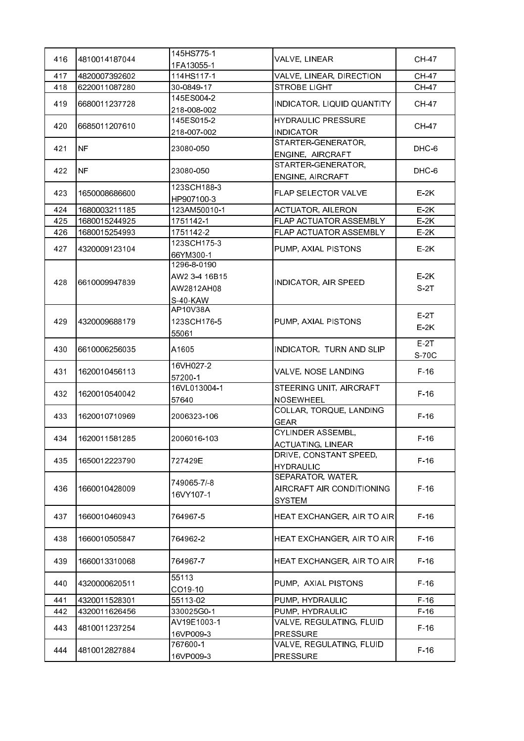| 416 | 4810014187044 | 145HS775-1                                             | VALVE, LINEAR                                            | CH 47            |
|-----|---------------|--------------------------------------------------------|----------------------------------------------------------|------------------|
|     |               | 1FA13055-1                                             |                                                          |                  |
| 417 | 4820007392602 | 114HS117-1                                             | VALVE, LINEAR, DIRECTION                                 | <b>CH-47</b>     |
| 418 | 6220011087280 | 30-0849-17                                             | <b>STROBE LIGHT</b>                                      | <b>CH-47</b>     |
| 419 | 6680011237728 | 145ES004-2<br>218-008-002                              | INDICATOR, LIQUID QUANTITY                               | <b>CH-47</b>     |
|     |               | 145ES015-2                                             | <b>HYDRAULIC PRESSURE</b>                                |                  |
| 420 | 6685011207610 | 218-007-002                                            | <b>INDICATOR</b>                                         | CH-47            |
| 421 | <b>NF</b>     | 23080-050                                              | STARTER-GENERATOR,<br>ENGINE, AIRCRAFT                   | DHC 6            |
| 422 | <b>NF</b>     | 23080-050                                              | STARTER-GENERATOR,<br>ENGINE, AIRCRAFT                   | DHC-6            |
| 423 | 1650008686600 | 123SCH188-3                                            | FLAP SELECTOR VALVE                                      | $E-2K$           |
|     |               | HP907100-3                                             |                                                          |                  |
| 424 | 1680003211185 | 123AM50010-1                                           | <b>ACTUATOR, AILERON</b>                                 | $E-2K$           |
| 425 | 1680015244925 | 1751142-1                                              | FLAP ACTUATOR ASSEMBLY                                   | $E-2K$           |
| 426 | 1680015254993 | 1751142-2                                              | FLAP ACTUATOR ASSEMBLY                                   | $E-2K$           |
| 427 | 4320009123104 | 123SCH175-3<br>66YM300-1                               | PUMP, AXIAL PISTONS                                      | $E-2K$           |
| 428 | 6610009947839 | 1296-8-0190<br>AW2 3-4 16B15<br>AW2812AH08<br>S-40-KAW | INDICATOR, AIR SPEED                                     | $E-2K$<br>S-2T   |
| 429 | 4320009688179 | AP10V38A<br>123SCH176-5<br>55061                       | PUMP, AXIAL PISTONS                                      | $E-2T$<br>$E-2K$ |
| 430 | 6610006256035 | A1605                                                  | INDICATOR, TURN AND SLIP                                 | $E-2T$<br>S-70C  |
| 431 | 1620010456113 | 16VH027-2<br>57200-1                                   | VALVE, NOSE LANDING                                      | $F-16$           |
| 432 | 1620010540042 | 16VL013004-1<br>57640                                  | STEERING UNIT, AIRCRAFT<br><b>NOSEWHEEL</b>              | $F-16$           |
| 433 | 1620010710969 | 2006323-106                                            | COLLAR, TORQUE, LANDING<br><b>GEAR</b>                   | $F-16$           |
| 434 | 1620011581285 | 2006016-103                                            | CYLINDER ASSEMBL,<br><b>ACTUATING, LINEAR</b>            | $F-16$           |
| 435 | 1650012223790 | 727429E                                                | DRIVE, CONSTANT SPEED,<br><b>HYDRAULIC</b>               | $F-16$           |
| 436 | 1660010428009 | 749065-7/-8<br>16VY107-1                               | SEPARATOR, WATER,<br>AIRCRAFT AIR CONDITIONING<br>SYSTEM | $F-16$           |
| 437 | 1660010460943 | 764967-5                                               | HEAT EXCHANGER, AIR TO AIR                               | $F-16$           |
| 438 | 1660010505847 | 7649622                                                | HEAT EXCHANGER, AIR TO AIR                               | $F-16$           |
| 439 | 1660013310068 | 7649677                                                | HEAT EXCHANGER, AIR TO AIR                               | $F-16$           |
| 440 | 4320000620511 | 55113<br>CO19-10                                       | PUMP, AXIAL PISTONS                                      | $F-16$           |
| 441 | 4320011528301 | 55113-02                                               | PUMP, HYDRAULIC                                          | $F-16$           |
| 442 | 4320011626456 | 330025G0-1                                             | PUMP, HYDRAULIC                                          | $F-16$           |
| 443 | 4810011237254 | AV19E1003-1<br>16VP009-3                               | VALVE, REGULATING, FLUID<br><b>PRESSURE</b>              | $F-16$           |
| 444 | 4810012827884 | 767600-1<br>16VP009-3                                  | VALVE, REGULATING, FLUID<br>PRESSURE                     | $F-16$           |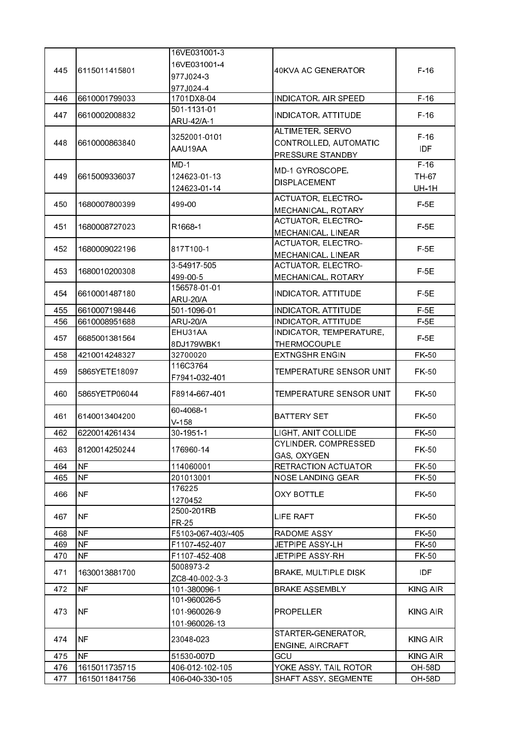|     |                | 16VE031001-3       |                             |                 |
|-----|----------------|--------------------|-----------------------------|-----------------|
|     |                | 16VE031001-4       |                             |                 |
| 445 | 16115011415801 | 977J024-3          | <b>40KVA AC GENERATOR</b>   | $F-16$          |
|     |                |                    |                             |                 |
|     |                | 977J024-4          |                             |                 |
| 446 | 6610001799033  | 1701DX8-04         | <b>INDICATOR, AIR SPEED</b> | $F-16$          |
| 447 | 6610002008832  | 501-1131-01        | <b>INDICATOR, ATTITUDE</b>  | $F-16$          |
|     |                | ARU-42/A-1         |                             |                 |
|     |                | 3252001-0101       | ALTIMETER, SERVO            | $F-16$          |
| 448 | 6610000863840  |                    | CONTROLLED, AUTOMATIC       |                 |
|     |                | AAU19AA            | PRESSURE STANDBY            | IDF             |
|     |                | $MD-1$             |                             | $F-16$          |
| 449 | 6615009336037  | 124623 01-13       | MD-1 GYROSCOPE,             | TH-67           |
|     |                | 124623-01-14       | <b>DISPLACEMENT</b>         | <b>UH-1H</b>    |
|     |                |                    | <b>ACTUATOR, ELECTRO-</b>   |                 |
| 450 | 1680007800399  | 499-00             | MECHANICAL, ROTARY          | $F-5E$          |
|     |                |                    | <b>ACTUATOR, ELECTRO-</b>   |                 |
| 451 | 1680008727023  | R1668-1            |                             | $F-5E$          |
|     |                |                    | MECHANICAL, LINEAR          |                 |
| 452 | 1680009022196  | 817T100-1          | <b>ACTUATOR, ELECTRO-</b>   | $F-5E$          |
|     |                |                    | MECHANICAL, LINEAR          |                 |
| 453 | 1680010200308  | 3-54917-505        | <b>ACTUATOR, ELECTRO-</b>   | $F-5E$          |
|     |                | 499-00-5           | MECHANICAL, ROTARY          |                 |
|     |                | 156578-01-01       |                             |                 |
| 454 | 6610001487180  | <b>ARU-20/A</b>    | <b>INDICATOR, ATTITUDE</b>  | $F-5E$          |
| 455 | 6610007198446  | 501-1096-01        | <b>INDICATOR, ATTITUDE</b>  | $F-5E$          |
| 456 | 6610008951688  | <b>ARU-20/A</b>    | <b>INDICATOR, ATTITUDE</b>  | $F-5E$          |
|     |                | EHU31AA            | INDICATOR, TEMPERATURE,     |                 |
| 457 | 6685001381564  | 8DJ179WBK1         | THERMOCOUPLE                | $F-5E$          |
| 458 | 4210014248327  | 32700020           | <b>EXTNGSHR ENGIN</b>       | FK-50           |
|     |                | 116C3764           |                             |                 |
| 459 | 5865YETE18097  |                    | TEMPERATURE SENSOR UNIT     | FK-50           |
|     |                | F7941-032-401      |                             |                 |
| 460 | 5865YETP06044  | F8914 667 401      | TEMPERATURE SENSOR UNIT     | FK-50           |
|     |                |                    |                             |                 |
| 461 | 6140013404200  | 60-4068-1          | <b>BATTERY SET</b>          | FK-50           |
|     |                | V.158              |                             |                 |
| 462 | 6220014261434  | 30-1951-1          | LIGHT, ANIT COLLIDE         | FK-50           |
|     |                |                    | CYLINDER, COMPRESSED        |                 |
| 463 | 8120014250244  | 176960-14          | GAS, OXYGEN                 | FK-50           |
| 464 | <b>NF</b>      | 114060001          | <b>RETRACTION ACTUATOR</b>  | FK-50           |
| 465 | <b>NF</b>      | 201013001          | <b>NOSE LANDING GEAR</b>    | FK-50           |
|     |                | 176225             |                             |                 |
| 466 | <b>NF</b>      |                    | <b>OXY BOTTLE</b>           | FK-50           |
|     |                | 1270452            |                             |                 |
| 467 | <b>NF</b>      | 2500-201RB         | LIFE RAFT                   | FK-50           |
|     |                | FR-25              |                             |                 |
| 468 | <b>NF</b>      | F5103-067-403/-405 | RADOME ASSY                 | FK-50           |
| 469 | <b>NF</b>      | F1107-452-407      | JETPIPE ASSY-LH             | FK-50           |
| 470 | <b>NF</b>      | F1107-452-408      | JETPIPE ASSY-RH             | FK-50           |
|     |                | 5008973-2          |                             |                 |
| 471 | 1630013881700  | ZC8-40-002-3-3     | <b>BRAKE, MULTIPLE DISK</b> | <b>IDF</b>      |
| 472 | <b>NF</b>      | 101-380096-1       | <b>BRAKE ASSEMBLY</b>       | <b>KING AIR</b> |
|     |                | 101-960026-5       |                             |                 |
| 473 | <b>NF</b>      | 101-960026-9       | <b>PROPELLER</b>            | <b>KING AIR</b> |
|     |                |                    |                             |                 |
|     |                | 101-960026-13      | STARTER-GENERATOR,          |                 |
| 474 | <b>NF</b>      | 23048-023          |                             | KING AIR        |
|     |                |                    | ENGINE, AIRCRAFT            |                 |
| 475 | <b>NF</b>      | 51530-007D         | GCU                         | <b>KING AIR</b> |
| 476 | 1615011735715  | 406-012-102-105    | YOKE ASSY, TAIL ROTOR       | <b>OH-58D</b>   |
| 477 | 1615011841756  | 406-040-330-105    | SHAFT ASSY, SEGMENTE        | <b>OH-58D</b>   |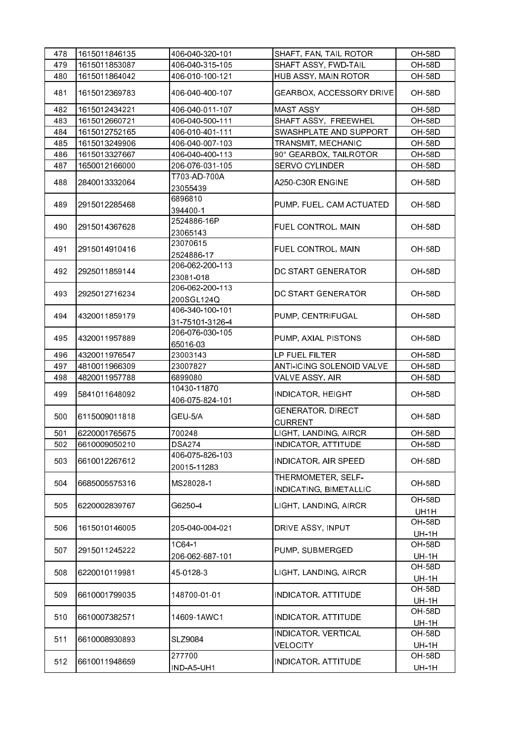| 478 | 1615011846135 | 406-040-320-101                    | SHAFT, FAN, TAIL ROTOR                       | OH 58D                        |
|-----|---------------|------------------------------------|----------------------------------------------|-------------------------------|
| 479 | 1615011853087 | 406-040-315-105                    | SHAFT ASSY, FWD-TAIL                         | OH 58D                        |
| 480 | 1615011864042 | 406-010-100-121                    | HUB ASSY, MAIN ROTOR                         | OH-58D                        |
| 481 | 1615012369783 | 406-040-400-107                    | GEARBOX, ACCESSORY DRIVE                     | <b>OH-58D</b>                 |
| 482 | 1615012434221 | 406-040-011-107                    | <b>MAST ASSY</b>                             | <b>OH 58D</b>                 |
| 483 | 1615012660721 | 406-040-500-111                    | SHAFT ASSY, FREEWHEL                         | OH-58D                        |
| 484 | 1615012752165 | 406-010-401-111                    | SWASHPLATE AND SUPPORT                       | <b>OH 58D</b>                 |
| 485 | 1615013249906 | 406-040-007-103                    | TRANSMIT, MECHANIC                           | OH 58D                        |
| 486 | 1615013327667 | 406-040-400-113                    | 90° GEARBOX, TAILROTOR                       | <b>OH-58D</b>                 |
| 487 | 1650012166000 | 206-076-031-105                    | <b>SERVO CYLINDER</b>                        | OH 58D                        |
| 488 | 2840013332064 | T703-AD-700A<br>23055439           | A250-C30R ENGINE                             | <b>OH-58D</b>                 |
| 489 | 2915012285468 | 6896810<br>394400-1                | PUMP, FUEL, CAM ACTUATED                     | <b>OH-58D</b>                 |
| 490 | 2915014367628 | 2524886-16P<br>23065143            | FUEL CONTROL, MAIN                           | <b>OH-58D</b>                 |
| 491 | 2915014910416 | 23070615<br>2524886-17             | FUEL CONTROL, MAIN                           | <b>OH-58D</b>                 |
| 492 | 2925011859144 | 206-062-200-113<br>23081-018       | DC START GENERATOR                           | <b>OH-58D</b>                 |
| 493 | 2925012716234 | 206-062-200-113<br>200SGL124Q      | DC START GENERATOR                           | <b>OH-58D</b>                 |
| 494 | 4320011859179 | 406-340-100-101<br>31-75101-3126-4 | PUMP, CENTRIFUGAL                            | <b>OH-58D</b>                 |
| 495 | 4320011957889 | 206-076-030-105<br>65016-03        | PUMP, AXIAL PISTONS                          | <b>OH 58D</b>                 |
| 496 | 4320011976547 | 23003143                           | LP FUEL FILTER                               | <b>OH-58D</b>                 |
| 497 | 4810011966309 | 23007827                           | <b>ANTI-ICING SOLENOID VALVE</b>             | OH 58D                        |
| 498 | 4820011957788 | 6899080                            | VALVE ASSY, AIR                              | <b>OH-58D</b>                 |
| 499 | 5841011648092 | 10430-11870<br>406-075-824-101     | <b>INDICATOR, HEIGHT</b>                     | <b>OH-58D</b>                 |
| 500 | 6115009011818 | GEU-5/A                            | <b>GENERATOR, DIRECT</b><br><b>CURRENT</b>   | <b>OH-58D</b>                 |
| 501 | 6220001765675 | 700248                             | LIGHT, LANDING, AIRCR                        | <b>OH 58D</b>                 |
| 502 | 6610009050210 | DSA274                             | INDICATOR, ATTITUDE                          | OH-58D                        |
| 503 | 6610012267612 | 406-075-826-103<br>20015-11283     | INDICATOR, AIR SPEED                         | <b>OH-58D</b>                 |
| 504 | 6685005575316 | MS28028-1                          | THERMOMETER, SELF-<br>INDICATING, BIMETALLIC | <b>OH-58D</b>                 |
| 505 | 6220002839767 | G6250-4                            | LIGHT, LANDING, AIRCR                        | OH 58D<br>UH1H                |
| 506 | 1615010146005 | 205-040-004-021                    | DRIVE ASSY, INPUT                            | <b>OH 58D</b><br><b>UH-1H</b> |
| 507 | 2915011245222 | 1C64-1<br>206-062-687-101          | PUMP, SUBMERGED                              | <b>OH-58D</b><br><b>UH-1H</b> |
| 508 | 6220010119981 | 45-0128-3                          | LIGHT, LANDING, AIRCR                        | <b>OH 58D</b><br><b>UH-1H</b> |
| 509 | 6610001799035 | 148700-01-01                       | INDICATOR, ATTITUDE                          | <b>OH-58D</b><br><b>UH-1H</b> |
| 510 | 6610007382571 | 14609-1AWC1                        | <b>INDICATOR, ATTITUDE</b>                   | <b>OH-58D</b><br><b>UH-1H</b> |
| 511 | 6610008930893 | SLZ9084                            | INDICATOR, VERTICAL<br><b>VELOCITY</b>       | <b>OH-58D</b><br><b>UH-1H</b> |
| 512 | 6610011948659 | 277700<br>IND-A5-UH1               | <b>INDICATOR, ATTITUDE</b>                   | <b>OH-58D</b><br><b>UH-1H</b> |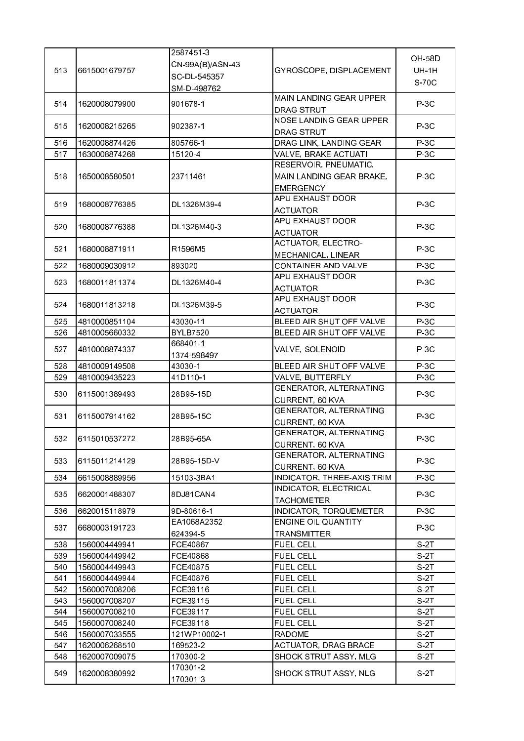|     |               | 2587451-3        |                                               |                 |
|-----|---------------|------------------|-----------------------------------------------|-----------------|
|     |               | CN-99A(B)/ASN-43 |                                               | <b>OH 58D</b>   |
| 513 | 6615001679757 | SC-DL-545357     | GYROSCOPE, DISPLACEMENT                       | <b>UH-1H</b>    |
|     |               | SM-D-498762      |                                               | S-70C           |
|     |               |                  | MAIN LANDING GEAR UPPER                       |                 |
| 514 | 1620008079900 | 901678-1         | DRAG STRUT                                    | $P-3C$          |
|     |               |                  | NOSE LANDING GEAR UPPER                       |                 |
| 515 | 1620008215265 | 902387-1         |                                               | $P-3C$          |
| 516 | 1620008874426 | 805766-1         | DRAG STRUT                                    | $P-3C$          |
|     |               |                  | DRAG LINK, LANDING GEAR                       |                 |
| 517 | 1630008874268 | 15120-4          | VALVE, BRAKE ACTUATI<br>RESERVOIR, PNEUMATIC, | $P-3C$          |
|     |               |                  |                                               |                 |
| 518 | 1650008580501 | 23711461         | MAIN LANDING GEAR BRAKE,                      | $P-3C$          |
|     |               |                  | <b>EMERGENCY</b><br>APU EXHAUST DOOR          |                 |
| 519 | 1680008776385 | DL1326M39-4      |                                               | $P-3C$          |
|     |               |                  | <b>ACTUATOR</b>                               |                 |
| 520 | 1680008776388 | DL1326M40-3      | APU EXHAUST DOOR                              | $P-3C$          |
|     |               |                  | <b>ACTUATOR</b>                               |                 |
| 521 | 1680008871911 | R1596M5          | <b>ACTUATOR, ELECTRO-</b>                     | $P-3C$          |
|     |               |                  | MECHANICAL, LINEAR                            |                 |
| 522 | 1680009030912 | 893020           | CONTAINER AND VALVE                           | $P-3C$          |
| 523 | 1680011811374 | DL1326M40-4      | APU EXHAUST DOOR                              | $P-3C$          |
|     |               |                  | <b>ACTUATOR</b>                               |                 |
| 524 | 1680011813218 | DL1326M39-5      | APU EXHAUST DOOR                              | $P-3C$          |
|     |               |                  | <b>ACTUATOR</b>                               |                 |
| 525 | 4810000851104 | 43030-11         | BLEED AIR SHUT OFF VALVE                      | $P-3C$          |
| 526 | 4810005660332 | <b>BYLB7520</b>  | BLEED AIR SHUT OFF VALVE                      | $P-3C$          |
| 527 | 4810008874337 | 668401-1         | VALVE, SOLENOID                               | $P-3C$          |
|     |               | 1374-598497      |                                               |                 |
| 528 | 4810009149508 | 43030-1          | BLEED AIR SHUT OFF VALVE                      | $P-3C$          |
| 529 | 4810009435223 | 41D110-1         | VALVE, BUTTERFLY                              | $P-3C$          |
| 530 | 6115001389493 | 28B95-15D        | <b>GENERATOR, ALTERNATING</b>                 | $P-3C$          |
|     |               |                  | CURRENT, 60 KVA                               |                 |
| 531 | 6115007914162 | 28B95 15C        | GENERATOR, ALTERNATING                        | $P-3C$          |
|     |               |                  | CURRENT, 60 KVA                               |                 |
| 532 | 6115010537272 | 28B95-65A        | <b>GENERATOR, ALTERNATING</b>                 | $P-3C$          |
|     |               |                  | CURRENT, 60 KVA                               |                 |
| 533 | 6115011214129 | 28B95-15D-V      | GENERATOR, ALTERNATING                        | $P-3C$          |
|     |               |                  | <b>CURRENT, 60 KVA</b>                        |                 |
| 534 | 6615008889956 | 15103-3BA1       | INDICATOR, THREE-AXIS TRIM                    | $P-3C$          |
| 535 | 6620001488307 | 8DJ81CAN4        | INDICATOR, ELECTRICAL                         | $P-3C$          |
|     |               |                  | <b>TACHOMETER</b>                             |                 |
| 536 | 6620015118979 | 9D-80616-1       | INDICATOR, TORQUEMETER                        | $P-3C$          |
| 537 | 6680003191723 | EA1068A2352      | ENGINE OIL QUANTITY                           | $P-3C$          |
|     |               | 624394-5         | TRANSMITTER                                   |                 |
| 538 | 1560004449941 | FCE40867         | <b>FUEL CELL</b>                              | S 2T            |
| 539 | 1560004449942 | FCE40868         | <b>FUEL CELL</b>                              | S-2T            |
| 540 | 1560004449943 | FCE40875         | <b>FUEL CELL</b>                              | S-2T            |
| 541 | 1560004449944 | FCE40876         | <b>FUEL CELL</b>                              | S <sub>2T</sub> |
| 542 | 1560007008206 | FCE39116         | <b>FUEL CELL</b>                              | S 2T            |
| 543 | 1560007008207 | FCE39115         | <b>FUEL CELL</b>                              | S-2T            |
| 544 | 1560007008210 | FCE39117         | <b>FUEL CELL</b>                              | S 2T            |
| 545 | 1560007008240 | FCE39118         | <b>FUEL CELL</b>                              | S 2T            |
| 546 | 1560007033555 | 121WP10002-1     | <b>RADOME</b>                                 | S 2T            |
| 547 | 1620006268510 | 169523-2         | <b>ACTUATOR, DRAG BRACE</b>                   | S 2T            |
| 548 | 1620007009075 | 170300-2         | SHOCK STRUT ASSY, MLG                         | S-2T            |
|     |               | 170301-2         |                                               |                 |
| 549 | 1620008380992 | 170301-3         | SHOCK STRUT ASSY, NLG                         | $S-2T$          |
|     |               |                  |                                               |                 |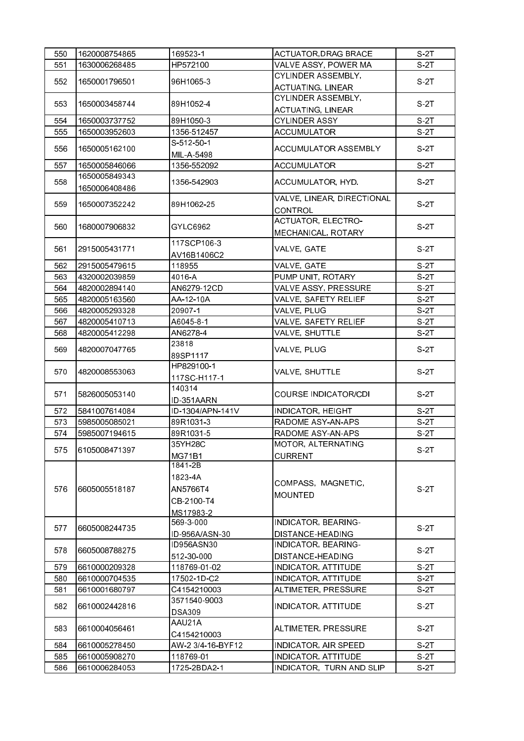| 550 | 1620008754865                  | 169523-1          | <b>ACTUATOR, DRAG BRACE</b>                                                                                                                                                                                                                                                                                                                                                                                                                                                                                                                                                                                                                                                                                                                                                                                                                                                             | $S-2T$          |
|-----|--------------------------------|-------------------|-----------------------------------------------------------------------------------------------------------------------------------------------------------------------------------------------------------------------------------------------------------------------------------------------------------------------------------------------------------------------------------------------------------------------------------------------------------------------------------------------------------------------------------------------------------------------------------------------------------------------------------------------------------------------------------------------------------------------------------------------------------------------------------------------------------------------------------------------------------------------------------------|-----------------|
| 551 | 1630006268485                  | HP572100          | VALVE ASSY, POWER MA                                                                                                                                                                                                                                                                                                                                                                                                                                                                                                                                                                                                                                                                                                                                                                                                                                                                    | S 2T            |
|     |                                |                   | CYLINDER ASSEMBLY,                                                                                                                                                                                                                                                                                                                                                                                                                                                                                                                                                                                                                                                                                                                                                                                                                                                                      |                 |
| 552 | 1650001796501                  |                   |                                                                                                                                                                                                                                                                                                                                                                                                                                                                                                                                                                                                                                                                                                                                                                                                                                                                                         | S-2T            |
|     |                                |                   | CYLINDER ASSEMBLY,                                                                                                                                                                                                                                                                                                                                                                                                                                                                                                                                                                                                                                                                                                                                                                                                                                                                      |                 |
| 553 | 1650003458744                  |                   |                                                                                                                                                                                                                                                                                                                                                                                                                                                                                                                                                                                                                                                                                                                                                                                                                                                                                         | S-2T            |
| 554 | 1650003737752                  |                   |                                                                                                                                                                                                                                                                                                                                                                                                                                                                                                                                                                                                                                                                                                                                                                                                                                                                                         | S 2T            |
| 555 | 1650003952603                  |                   |                                                                                                                                                                                                                                                                                                                                                                                                                                                                                                                                                                                                                                                                                                                                                                                                                                                                                         | $S-2T$          |
|     |                                |                   |                                                                                                                                                                                                                                                                                                                                                                                                                                                                                                                                                                                                                                                                                                                                                                                                                                                                                         |                 |
| 556 | 1650005162100                  |                   | <b>ACCUMULATOR ASSEMBLY</b>                                                                                                                                                                                                                                                                                                                                                                                                                                                                                                                                                                                                                                                                                                                                                                                                                                                             | S 2T            |
| 557 | 1650005846066                  |                   |                                                                                                                                                                                                                                                                                                                                                                                                                                                                                                                                                                                                                                                                                                                                                                                                                                                                                         | S 2T            |
|     | 1650005849343                  |                   |                                                                                                                                                                                                                                                                                                                                                                                                                                                                                                                                                                                                                                                                                                                                                                                                                                                                                         |                 |
| 558 | 1650006408486                  | 1356-542903       | ACCUMULATOR, HYD.                                                                                                                                                                                                                                                                                                                                                                                                                                                                                                                                                                                                                                                                                                                                                                                                                                                                       | S 2T            |
|     |                                |                   |                                                                                                                                                                                                                                                                                                                                                                                                                                                                                                                                                                                                                                                                                                                                                                                                                                                                                         |                 |
| 559 | 1650007352242                  | 89H1062-25        |                                                                                                                                                                                                                                                                                                                                                                                                                                                                                                                                                                                                                                                                                                                                                                                                                                                                                         | S 2T            |
|     |                                |                   |                                                                                                                                                                                                                                                                                                                                                                                                                                                                                                                                                                                                                                                                                                                                                                                                                                                                                         |                 |
| 560 | 1680007906832                  | GYLC6962          |                                                                                                                                                                                                                                                                                                                                                                                                                                                                                                                                                                                                                                                                                                                                                                                                                                                                                         | S 2T            |
|     |                                |                   |                                                                                                                                                                                                                                                                                                                                                                                                                                                                                                                                                                                                                                                                                                                                                                                                                                                                                         |                 |
| 561 | 2915005431771                  |                   | VALVE, GATE                                                                                                                                                                                                                                                                                                                                                                                                                                                                                                                                                                                                                                                                                                                                                                                                                                                                             | S 2T            |
|     |                                |                   |                                                                                                                                                                                                                                                                                                                                                                                                                                                                                                                                                                                                                                                                                                                                                                                                                                                                                         | S 2T            |
| 562 | 2915005479615<br>4320002039859 |                   |                                                                                                                                                                                                                                                                                                                                                                                                                                                                                                                                                                                                                                                                                                                                                                                                                                                                                         | S 2T            |
| 563 |                                |                   |                                                                                                                                                                                                                                                                                                                                                                                                                                                                                                                                                                                                                                                                                                                                                                                                                                                                                         |                 |
| 564 | 4820002894140                  |                   |                                                                                                                                                                                                                                                                                                                                                                                                                                                                                                                                                                                                                                                                                                                                                                                                                                                                                         | S-2T            |
| 565 | 4820005163560                  |                   |                                                                                                                                                                                                                                                                                                                                                                                                                                                                                                                                                                                                                                                                                                                                                                                                                                                                                         | S 2T            |
| 566 | 4820005293328                  |                   |                                                                                                                                                                                                                                                                                                                                                                                                                                                                                                                                                                                                                                                                                                                                                                                                                                                                                         | S-2T            |
| 567 | 4820005410713                  |                   |                                                                                                                                                                                                                                                                                                                                                                                                                                                                                                                                                                                                                                                                                                                                                                                                                                                                                         | S 2T            |
| 568 | 4820005412298                  |                   |                                                                                                                                                                                                                                                                                                                                                                                                                                                                                                                                                                                                                                                                                                                                                                                                                                                                                         | S-2T            |
| 569 | 4820007047765                  |                   |                                                                                                                                                                                                                                                                                                                                                                                                                                                                                                                                                                                                                                                                                                                                                                                                                                                                                         | S 2T            |
|     |                                |                   |                                                                                                                                                                                                                                                                                                                                                                                                                                                                                                                                                                                                                                                                                                                                                                                                                                                                                         |                 |
| 570 | 4820008553063                  |                   |                                                                                                                                                                                                                                                                                                                                                                                                                                                                                                                                                                                                                                                                                                                                                                                                                                                                                         | S <sub>2T</sub> |
|     |                                | 117SC-H117-1      |                                                                                                                                                                                                                                                                                                                                                                                                                                                                                                                                                                                                                                                                                                                                                                                                                                                                                         |                 |
| 571 | 5826005053140                  | 140314            |                                                                                                                                                                                                                                                                                                                                                                                                                                                                                                                                                                                                                                                                                                                                                                                                                                                                                         | S-2T            |
|     |                                | ID-351AARN        |                                                                                                                                                                                                                                                                                                                                                                                                                                                                                                                                                                                                                                                                                                                                                                                                                                                                                         |                 |
| 572 | 5841007614084                  | ID-1304/APN-141V  |                                                                                                                                                                                                                                                                                                                                                                                                                                                                                                                                                                                                                                                                                                                                                                                                                                                                                         | S 2T            |
| 573 | 5985005085021                  | 89R1031-3         |                                                                                                                                                                                                                                                                                                                                                                                                                                                                                                                                                                                                                                                                                                                                                                                                                                                                                         | S 2T            |
| 574 | 5985007194615                  | 89R1031-5         |                                                                                                                                                                                                                                                                                                                                                                                                                                                                                                                                                                                                                                                                                                                                                                                                                                                                                         | $S-2T$          |
| 575 | 6105008471397                  | 35YH28C           |                                                                                                                                                                                                                                                                                                                                                                                                                                                                                                                                                                                                                                                                                                                                                                                                                                                                                         | S <sub>2T</sub> |
|     |                                | <b>MG71B1</b>     | <b>CURRENT</b>                                                                                                                                                                                                                                                                                                                                                                                                                                                                                                                                                                                                                                                                                                                                                                                                                                                                          |                 |
|     |                                | 1841-2B           |                                                                                                                                                                                                                                                                                                                                                                                                                                                                                                                                                                                                                                                                                                                                                                                                                                                                                         |                 |
|     |                                | 1823-4A           |                                                                                                                                                                                                                                                                                                                                                                                                                                                                                                                                                                                                                                                                                                                                                                                                                                                                                         |                 |
| 576 | 6605005518187                  | AN5766T4          |                                                                                                                                                                                                                                                                                                                                                                                                                                                                                                                                                                                                                                                                                                                                                                                                                                                                                         | $S-2T$          |
|     |                                | CB-2100-T4        |                                                                                                                                                                                                                                                                                                                                                                                                                                                                                                                                                                                                                                                                                                                                                                                                                                                                                         |                 |
|     |                                | MS17983-2         |                                                                                                                                                                                                                                                                                                                                                                                                                                                                                                                                                                                                                                                                                                                                                                                                                                                                                         |                 |
| 577 | 6605008244735                  | 569-3-000         | INDICATOR, BEARING-                                                                                                                                                                                                                                                                                                                                                                                                                                                                                                                                                                                                                                                                                                                                                                                                                                                                     | S 2T            |
|     |                                | ID-956A/ASN-30    | DISTANCE-HEADING                                                                                                                                                                                                                                                                                                                                                                                                                                                                                                                                                                                                                                                                                                                                                                                                                                                                        |                 |
| 578 | 6605008788275                  | ID956ASN30        | INDICATOR, BEARING-                                                                                                                                                                                                                                                                                                                                                                                                                                                                                                                                                                                                                                                                                                                                                                                                                                                                     | S 2T            |
|     |                                | 512-30-000        | DISTANCE-HEADING                                                                                                                                                                                                                                                                                                                                                                                                                                                                                                                                                                                                                                                                                                                                                                                                                                                                        |                 |
| 579 | 6610000209328                  | 118769-01-02      | <b>INDICATOR, ATTITUDE</b>                                                                                                                                                                                                                                                                                                                                                                                                                                                                                                                                                                                                                                                                                                                                                                                                                                                              | S-2T            |
| 580 | 6610000704535                  | 17502-1D-C2       | INDICATOR, ATTITUDE                                                                                                                                                                                                                                                                                                                                                                                                                                                                                                                                                                                                                                                                                                                                                                                                                                                                     | S-2T            |
| 581 | 6610001680797                  | C4154210003       | ALTIMETER, PRESSURE                                                                                                                                                                                                                                                                                                                                                                                                                                                                                                                                                                                                                                                                                                                                                                                                                                                                     | S-2T            |
|     |                                | 3571540-9003      |                                                                                                                                                                                                                                                                                                                                                                                                                                                                                                                                                                                                                                                                                                                                                                                                                                                                                         |                 |
| 582 | 6610002442816                  | <b>DSA309</b>     | 96H1065-3<br><b>ACTUATING, LINEAR</b><br>89H1052-4<br><b>ACTUATING, LINEAR</b><br><b>CYLINDER ASSY</b><br>89H1050-3<br>1356-512457<br><b>ACCUMULATOR</b><br>S 512 50 1<br>MIL-A-5498<br>1356-552092<br><b>ACCUMULATOR</b><br>VALVE, LINEAR, DIRECTIONAL<br>CONTROL<br><b>ACTUATOR, ELECTRO-</b><br>MECHANICAL, ROTARY<br>117SCP106-3<br>AV16B1406C2<br>118955<br>VALVE, GATE<br>PUMP UNIT, ROTARY<br>4016-A<br>AN6279-12CD<br>VALVE ASSY, PRESSURE<br>VALVE, SAFETY RELIEF<br>AA-12-10A<br>20907-1<br>VALVE, PLUG<br>VALVE, SAFETY RELIEF<br>A6045-8-1<br>VALVE, SHUTTLE<br>AN6278-4<br>23818<br>VALVE, PLUG<br>89SP1117<br>HP829100-1<br>VALVE, SHUTTLE<br><b>COURSE INDICATOR/CDI</b><br><b>INDICATOR, HEIGHT</b><br>RADOME ASY-AN-APS<br>RADOME ASY-AN-APS<br><b>MOTOR, ALTERNATING</b><br>COMPASS, MAGNETIC,<br><b>MOUNTED</b><br><b>INDICATOR, ATTITUDE</b><br>ALTIMETER, PRESSURE | $S-2T$          |
|     |                                | AAU21A            |                                                                                                                                                                                                                                                                                                                                                                                                                                                                                                                                                                                                                                                                                                                                                                                                                                                                                         |                 |
| 583 | 6610004056461                  | C4154210003       |                                                                                                                                                                                                                                                                                                                                                                                                                                                                                                                                                                                                                                                                                                                                                                                                                                                                                         | S <sub>2T</sub> |
| 584 | 6610005278450                  | AW-2 3/4-16-BYF12 | INDICATOR, AIR SPEED                                                                                                                                                                                                                                                                                                                                                                                                                                                                                                                                                                                                                                                                                                                                                                                                                                                                    | S-2T            |
| 585 | 6610005908270                  | 118769-01         | INDICATOR, ATTITUDE                                                                                                                                                                                                                                                                                                                                                                                                                                                                                                                                                                                                                                                                                                                                                                                                                                                                     | S 2T            |
| 586 | 6610006284053                  | 1725-2BDA2-1      | INDICATOR, TURN AND SLIP                                                                                                                                                                                                                                                                                                                                                                                                                                                                                                                                                                                                                                                                                                                                                                                                                                                                | S-2T            |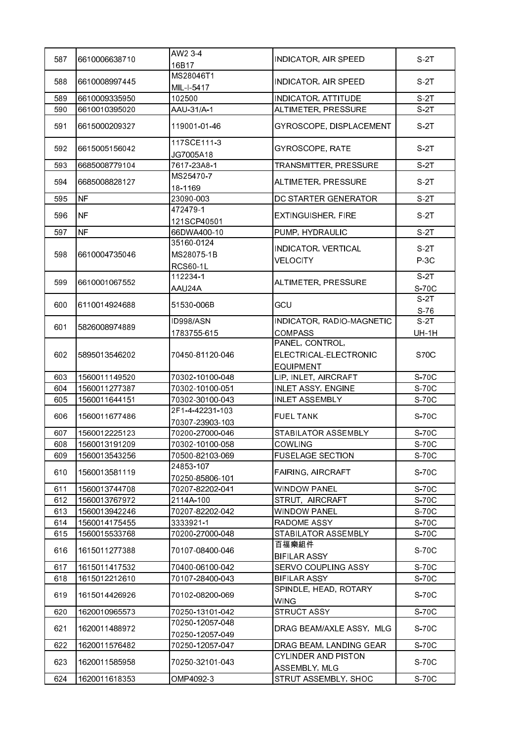| 587 | 6610006638710  | AW2 3-4<br>16B17                            | INDICATOR, AIR SPEED                                         | S <sub>2T</sub>      |
|-----|----------------|---------------------------------------------|--------------------------------------------------------------|----------------------|
| 588 | 6610008997445  | MS28046T1<br>MIL-I-5417                     | INDICATOR, AIR SPEED                                         | S 2T                 |
| 589 | 6610009335950  | 102500                                      | <b>INDICATOR, ATTITUDE</b>                                   | $\overline{S}$ -2T   |
| 590 | 6610010395020  | AAU-31/A-1                                  | ALTIMETER, PRESSURE                                          | S-2T                 |
| 591 | 6615000209327  | 119001-01-46                                | GYROSCOPE, DISPLACEMENT                                      | S 2T                 |
| 592 | 6615005156042  | 117SCE111-3<br>JG7005A18                    | GYROSCOPE, RATE                                              | S 2T                 |
| 593 | 6685008779104  | 7617-23A8-1                                 | TRANSMITTER, PRESSURE                                        | $S-2T$               |
| 594 | 6685008828127  | MS25470-7<br>18-1169                        | ALTIMETER, PRESSURE                                          | S 2T                 |
| 595 | <b>NF</b>      | 23090-003                                   | DC STARTER GENERATOR                                         | S 2T                 |
| 596 | <b>NF</b>      | 472479-1<br>121SCP40501                     | <b>EXTINGUISHER, FIRE</b>                                    | S 2T                 |
| 597 | N <sub>F</sub> | 66DWA400-10                                 | PUMP, HYDRAULIC                                              | $S-2T$               |
| 598 | 6610004735046  | 35160-0124<br>MS28075-1B<br><b>RCS60-1L</b> | <b>INDICATOR, VERTICAL</b><br><b>VELOCITY</b>                | S 2T<br>$P-3C$       |
| 599 | 6610001067552  | 112234-1<br>AAU24A                          | ALTIMETER, PRESSURE                                          | S-2T<br>S-70C        |
| 600 | 6110014924688  | 51530-006B                                  | GCU                                                          | S 2T<br>S.76         |
| 601 | 5826008974889  | ID998/ASN<br>1783755-615                    | INDICATOR, RADIO-MAGNETIC<br><b>COMPASS</b>                  | S-2T<br><b>UH-1H</b> |
| 602 | 5895013546202  | 70450-81120-046                             | PANEL, CONTROL,<br>ELECTRICAL-ELECTRONIC<br><b>EQUIPMENT</b> | <b>S70C</b>          |
| 603 | 1560011149520  | 70302-10100-048                             | LIP, INLET, AIRCRAFT                                         | S-70C                |
| 604 | 1560011277387  | 70302-10100-051                             | <b>INLET ASSY, ENGINE</b>                                    | S-70C                |
| 605 | 1560011644151  | 70302-30100-043                             | <b>INLET ASSEMBLY</b>                                        | S-70C                |
| 606 | 1560011677486  | 2F1-4-42231-103<br>70307-23903-103          | <b>FUEL TANK</b>                                             | S-70C                |
| 607 | 1560012225123  | 70200-27000-046                             | STABILATOR ASSEMBLY                                          | S-70C                |
| 608 | 1560013191209  | 70302-10100-058                             | COWLING                                                      | S-70C                |
| 609 | 1560013543256  | 70500-82103-069                             | <b>FUSELAGE SECTION</b>                                      | S-70C                |
| 610 | 1560013581119  | 24853-107<br>70250-85806-101                | <b>FAIRING, AIRCRAFT</b>                                     | S-70C                |
| 611 | 1560013744708  | 70207-82202-041                             | <b>WINDOW PANEL</b>                                          | S-70C                |
| 612 | 1560013767972  | 2114A-100                                   | STRUT, AIRCRAFT                                              | S-70C                |
| 613 | 1560013942246  | 70207-82202-042                             | <b>WINDOW PANEL</b>                                          | S-70C                |
| 614 | 1560014175455  | 3333921-1                                   | RADOME ASSY                                                  | S-70C                |
| 615 | 1560015533768  | 70200-27000-048                             | STABILATOR ASSEMBLY                                          | S-70C                |
| 616 | 1615011277388  | 70107-08400-046                             | 百福樂組件<br><b>BIFILAR ASSY</b>                                 | S-70C                |
| 617 | 1615011417532  | 70400-06100-042                             | SERVO COUPLING ASSY                                          | S-70C                |
| 618 | 1615012212610  | 70107-28400-043                             | <b>BIFILAR ASSY</b>                                          | S-70C                |
| 619 | 1615014426926  | 70102-08200-069                             | SPINDLE, HEAD, ROTARY<br><b>WING</b>                         | S-70C                |
| 620 | 1620010965573  | 70250-13101-042                             | <b>STRUCT ASSY</b>                                           | S-70C                |
| 621 | 1620011488972  | 70250-12057-048<br>70250-12057-049          | DRAG BEAM/AXLE ASSY, MLG                                     | S-70C                |
| 622 | 1620011576482  | 70250-12057-047                             | DRAG BEAM, LANDING GEAR                                      | S-70C                |
| 623 | 1620011585958  | 70250-32101-043                             | CYLINDER AND PISTON<br>ASSEMBLY, MLG                         | S-70C                |
| 624 | 1620011618353  | OMP4092-3                                   | STRUT ASSEMBLY, SHOC                                         | S-70C                |
|     |                |                                             |                                                              |                      |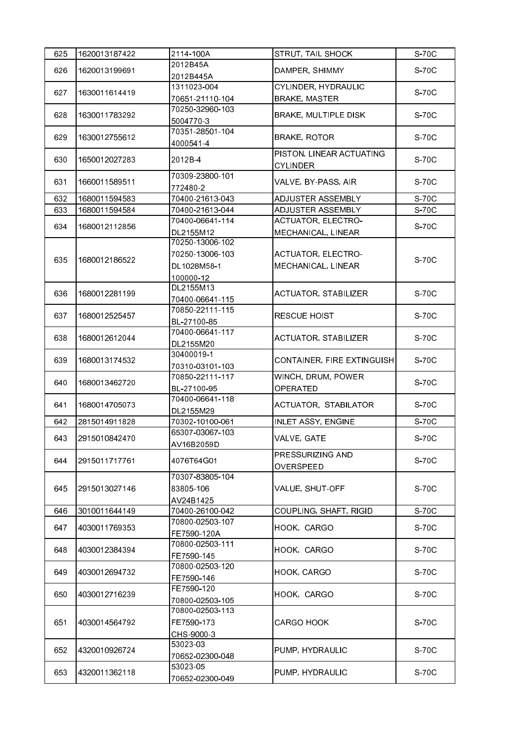| 625 | 1620013187422 | 2114-100A                                                      | STRUT, TAIL SHOCK                               | S-70C |
|-----|---------------|----------------------------------------------------------------|-------------------------------------------------|-------|
|     |               | 2012B45A                                                       |                                                 |       |
| 626 | 1620013199691 | 2012B445A                                                      | DAMPER, SHIMMY                                  | S-70C |
| 627 | 1630011614419 | 1311023-004                                                    | <b>CYLINDER, HYDRAULIC</b>                      | S-70C |
|     |               | 70651-21110-104                                                | <b>BRAKE, MASTER</b>                            |       |
| 628 | 1630011783292 | 70250-32960-103<br>5004770-3                                   | <b>BRAKE, MULTIPLE DISK</b>                     | S-70C |
| 629 | 1630012755612 | 70351-28501-104<br>4000541-4                                   | <b>BRAKE, ROTOR</b>                             | S-70C |
| 630 | 1650012027283 | 2012B-4                                                        | PISTON, LINEAR ACTUATING<br><b>CYLINDER</b>     | S-70C |
| 631 | 1660011589511 | 70309-23800-101<br>772480-2                                    | VALVE, BY-PASS, AIR                             | S-70C |
| 632 | 1680011594583 | 70400-21613-043                                                | ADJUSTER ASSEMBLY                               | S-70C |
| 633 | 1680011594584 | 70400-21613-044                                                | ADJUSTER ASSEMBLY                               | S-70C |
|     |               | 70400-06641-114                                                | <b>ACTUATOR, ELECTRO-</b>                       |       |
| 634 | 1680012112856 | DL2155M12                                                      | MECHANICAL, LINEAR                              | S-70C |
| 635 | 1680012186522 | 70250-13006-102<br>70250-13006-103<br>DL1028M58-1<br>100000-12 | <b>ACTUATOR, ELECTRO-</b><br>MECHANICAL, LINEAR | S-70C |
| 636 | 1680012281199 | DL2155M13<br>70400-06641-115                                   | <b>ACTUATOR, STABILIZER</b>                     | S-70C |
| 637 | 1680012525457 | 70850-22111-115<br>BL-27100-85                                 | <b>RESCUE HOIST</b>                             | S-70C |
| 638 | 1680012612044 | 70400-06641-117<br>DL2155M20                                   | ACTUATOR, STABILIZER                            | S-70C |
| 639 | 1680013174532 | 30400019-1<br>70310-03101-103                                  | CONTAINER, FIRE EXTINGUISH                      | S-70C |
| 640 | 1680013462720 | 70850-22111-117<br>BL-27100-95                                 | WINCH, DRUM, POWER<br>OPERATED                  | S-70C |
| 641 | 1680014705073 | 70400-06641-118<br>DL2155M29                                   | ACTUATOR, STABILATOR                            | S-70C |
| 642 | 2815014911828 | 70302-10100-061                                                | INLET ASSY, ENGINE                              | S-70C |
| 643 | 2915010842470 | 65307-03067-103<br>AV16B2059D                                  | VALVE, GATE                                     | S-70C |
| 644 | 2915011717761 | 4076T64G01                                                     | PRESSURIZING AND<br>OVERSPEED                   | S-70C |
| 645 | 2915013027146 | 70307-83805-104<br>83805-106<br>AV24B1425                      | VALUE, SHUT-OFF                                 | S-70C |
| 646 | 3010011644149 | 70400-26100-042                                                | COUPLING, SHAFT, RIGID                          | S-70C |
| 647 | 4030011769353 | 70800-02503-107<br>FE7590-120A                                 | HOOK, CARGO                                     | S-70C |
| 648 | 4030012384394 | 70800-02503-111<br>FE7590-145                                  | HOOK, CARGO                                     | S-70C |
| 649 | 4030012694732 | 70800-02503-120<br>FE7590-146                                  | HOOK, CARGO                                     | S-70C |
| 650 | 4030012716239 | FE7590-120<br>70800-02503-105                                  | HOOK, CARGO                                     | S-70C |
| 651 | 4030014564792 | 70800-02503-113<br>FE7590-173<br>CHS-9000-3                    | <b>CARGO HOOK</b>                               | S-70C |
| 652 | 4320010926724 | 53023-03<br>70652-02300-048                                    | PUMP, HYDRAULIC                                 | S-70C |
| 653 | 4320011362118 | 53023-05<br>70652-02300-049                                    | PUMP, HYDRAULIC                                 | S-70C |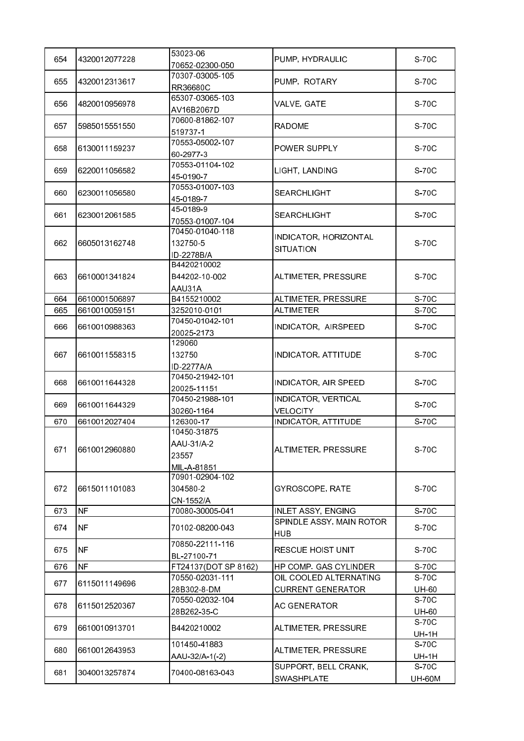| 654 | 4320012077228 | 53023-06<br>70652-02300-050                       | PUMP, HYDRAULIC                           | S-70C                 |
|-----|---------------|---------------------------------------------------|-------------------------------------------|-----------------------|
| 655 | 4320012313617 | 70307-03005-105<br>RR36680C                       | PUMP, ROTARY                              | S-70C                 |
| 656 | 4820010956978 | 65307-03065-103                                   | VALVE, GATE                               | S-70C                 |
|     |               | AV16B2067D<br>70600-81862-107                     |                                           |                       |
| 657 | 5985015551550 | 519737-1                                          | <b>RADOME</b>                             | S-70C                 |
| 658 | 6130011159237 | 70553-05002-107<br>60-2977-3                      | POWER SUPPLY                              | S-70C                 |
| 659 | 6220011056582 | 70553-01104-102<br>45-0190-7                      | LIGHT, LANDING                            | S-70C                 |
| 660 | 6230011056580 | 70553-01007-103<br>45-0189-7                      | <b>SEARCHLIGHT</b>                        | S-70C                 |
| 661 | 6230012061585 | 45-0189-9<br>70553-01007-104                      | <b>SEARCHLIGHT</b>                        | S-70C                 |
| 662 | 6605013162748 | 70450-01040-118<br>132750-5<br>ID-2278B/A         | INDICATOR, HORIZONTAL<br><b>SITUATION</b> | S-70C                 |
| 663 | 6610001341824 | B4420210002<br>B44202-10-002<br>AAU31A            | ALTIMETER, PRESSURE                       | S-70C                 |
| 664 | 6610001506897 | B4155210002                                       | ALTIMETER, PRESSURE                       | S-70C                 |
| 665 | 6610010059151 | 3252010-0101                                      | <b>ALTIMETER</b>                          | S-70C                 |
| 666 | 6610010988363 | 70450-01042-101<br>20025-2173                     | INDICATOR, AIRSPEED                       | S-70C                 |
| 667 | 6610011558315 | 129060<br>132750<br>ID-2277A/A                    | <b>INDICATOR, ATTITUDE</b>                | S-70C                 |
| 668 | 6610011644328 | 70450-21942-101<br>20025-11151                    | INDICATOR, AIR SPEED                      | S-70C                 |
| 669 | 6610011644329 | 70450-21988-101<br>30260-1164                     | INDICATOR, VERTICAL<br><b>VELOCITY</b>    | S-70C                 |
| 670 | 6610012027404 | 126300-17                                         | <b>INDICATOR, ATTITUDE</b>                | S-70C                 |
| 671 | 6610012960880 | 10450-31875<br>AAU-31/A-2<br>23557<br>MIL-A-81851 | ALTIMETER, PRESSURE                       | S-70C                 |
| 672 | 6615011101083 | 70901-02904-102<br>304580-2<br>CN-1552/A          | GYROSCOPE, RATE                           | S-70C                 |
| 673 | <b>NF</b>     | 70080-30005-041                                   | <b>INLET ASSY, ENGING</b>                 | S-70C                 |
| 674 | <b>NF</b>     | 70102-08200-043                                   | SPINDLE ASSY, MAIN ROTOR<br><b>HUB</b>    | S-70C                 |
| 675 | NF            | 70850-22111-116<br>BL-27100-71                    | <b>RESCUE HOIST UNIT</b>                  | S-70C                 |
| 676 | <b>NF</b>     | FT24137(DOT SP 8162)                              | HP COMP. GAS CYLINDER                     | S-70C                 |
|     |               | 70550-02031-111                                   | OIL COOLED ALTERNATING                    | S-70C                 |
| 677 | 6115011149696 | 28B302-8-DM                                       | <b>CURRENT GENERATOR</b>                  | UH-60                 |
| 678 | 6115012520367 | 70550-02032-104<br>28B262-35-C                    | <b>AC GENERATOR</b>                       | S-70C<br>UH-60        |
| 679 | 6610010913701 | B4420210002                                       | ALTIMETER, PRESSURE                       | S-70C                 |
|     |               | 101450-41883                                      |                                           | <b>UH-1H</b><br>S-70C |
| 680 | 6610012643953 | AAU-32/A-1(-2)                                    | ALTIMETER, PRESSURE                       | <b>UH-1H</b>          |
|     |               |                                                   | SUPPORT, BELL CRANK,                      | S-70C                 |
| 681 | 3040013257874 | 70400-08163-043                                   | SWASHPLATE                                | <b>UH-60M</b>         |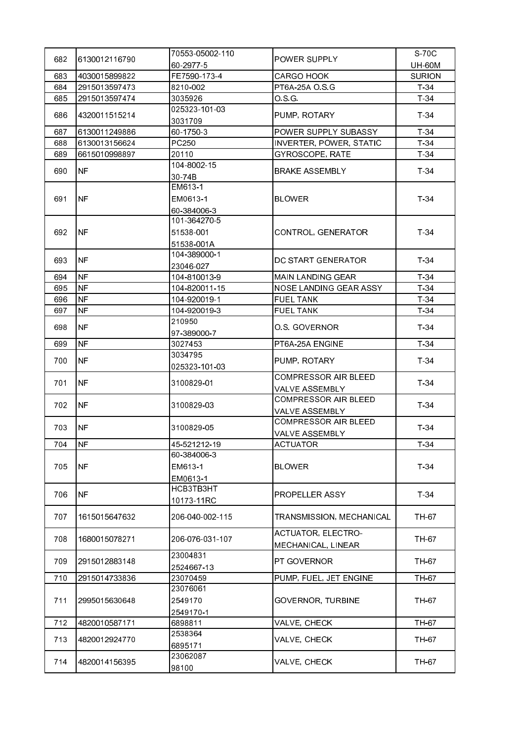| 682       | 6130012116790 | 70553-05002-110          | POWER SUPPLY                                    | S-70C         |
|-----------|---------------|--------------------------|-------------------------------------------------|---------------|
|           |               | 60 2977 5                |                                                 | <b>UH-60M</b> |
| 683       | 4030015899822 | FE7590-173-4             | CARGO HOOK                                      | <b>SURION</b> |
| 684       | 2915013597473 | 8210-002                 | PT6A-25A O.S.G                                  | $T-34$        |
| 685       | 2915013597474 | 3035926                  | OSG.                                            | $T-34$        |
| 686       | 4320011515214 | 025323-101-03<br>3031709 | PUMP, ROTARY                                    | $T-34$        |
| 687       | 6130011249886 | 60-1750-3                | POWER SUPPLY SUBASSY                            | $T-34$        |
| 688       | 6130013156624 | PC250                    | INVERTER, POWER, STATIC                         | $T-34$        |
| 689       | 6615010998897 | 20110                    | GYROSCOPE, RATE                                 | $T-34$        |
|           |               | 104-8002-15              |                                                 |               |
| 690       | NF            | 30-74B                   | <b>BRAKE ASSEMBLY</b>                           | $T-34$        |
|           |               | EM613-1                  |                                                 |               |
| 691       | <b>NF</b>     | EM0613-1                 | BLOWER                                          | $T-34$        |
|           |               | 60-384006-3              |                                                 |               |
|           |               | 101-364270-5             |                                                 |               |
| 692       | INF           | 51538-001                | CONTROL, GENERATOR                              | T 34          |
|           |               | 51538-001A               |                                                 |               |
|           |               | 104 389000 1             |                                                 |               |
| 693       | <b>NF</b>     | 23046-027                | DC START GENERATOR                              | $T-34$        |
| 694       | <b>NF</b>     | 104-810013-9             | <b>MAIN LANDING GEAR</b>                        | $T-34$        |
| 695       | <b>NF</b>     | 104-820011-15            | NOSE LANDING GEAR ASSY                          | $T-34$        |
| 696       | <b>NF</b>     | 104 920019 1             | <b>FUEL TANK</b>                                | $T-34$        |
| 697       | <b>NF</b>     | 104 920019 3             | <b>FUEL TANK</b>                                | $T-34$        |
|           |               | 210950                   |                                                 |               |
| 698       | <b>NF</b>     | 97-389000-7              | O S. GOVERNOR                                   | T 34          |
| 699       | <b>NF</b>     | 3027453                  | PT6A-25A ENGINE                                 | $T-34$        |
|           |               | 3034795                  |                                                 | $T-34$        |
| NF<br>700 |               | 025323-101-03            | PUMP, ROTARY                                    |               |
| 701       | <b>NF</b>     | 3100829-01               | COMPRESSOR AIR BLEED                            | $T-34$        |
|           |               |                          | VALVE ASSEMBLY                                  |               |
| 702       | INF.          | 3100829-03               | <b>COMPRESSOR AIR BLEED</b>                     | $T-34$        |
|           |               |                          | VALVE ASSEMBLY                                  |               |
| 703       | <b>NF</b>     | 3100829-05               | COMPRESSOR AIR BLEED                            | $T-34$        |
|           |               |                          | VALVE ASSEMBLY                                  |               |
| 704       | INF           | 45-521212-19             | ACTUATOR                                        | $T-34$        |
|           |               | 60-384006-3              |                                                 |               |
| 705       | <b>NF</b>     | EM613-1                  | <b>BLOWER</b>                                   | $T-34$        |
|           |               | EM0613-1                 |                                                 |               |
| 706       | NF            | HCB3TB3HT                | PROPELLER ASSY                                  | $T-34$        |
|           |               | 10173-11RC               |                                                 |               |
| 707       | 1615015647632 | 206-040-002-115          | TRANSMISSION, MECHANICAL                        | TH-67         |
| 708       | 1680015078271 | 206-076-031-107          | <b>ACTUATOR, ELECTRO-</b><br>MECHANICAL, LINEAR | TH-67         |
|           |               | 23004831                 |                                                 |               |
| 709       | 2915012883148 | 2524667-13               | PT GOVERNOR                                     | TH 67         |
| 710       | 2915014733836 | 23070459                 | PUMP, FUEL, JET ENGINE                          | TH-67         |
|           |               | 23076061                 |                                                 |               |
| 711       | 2995015630648 | 2549170                  | GOVERNOR, TURBINE                               | TH-67         |
|           |               | 2549170-1                |                                                 |               |
| 712       | 4820010587171 | 6898811                  | VALVE, CHECK                                    | TH-67         |
| 713       | 4820012924770 | 2538364                  | VALVE, CHECK                                    | TH-67         |
|           |               | 6895171                  |                                                 |               |
| 714       | 4820014156395 | 23062087                 | VALVE, CHECK                                    | TH-67         |
|           |               | 98100                    |                                                 |               |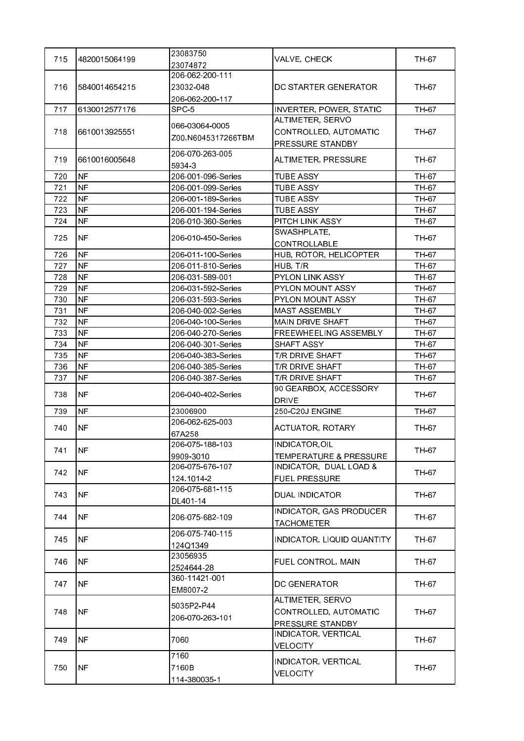| 715 | 4820015064199  | 23083750                     | VALVE, CHECK                   | TH-67 |
|-----|----------------|------------------------------|--------------------------------|-------|
|     |                | 23074872                     |                                |       |
|     |                | 206-062-200-111              |                                |       |
| 716 | 15840014654215 | 23032-048                    | DC STARTER GENERATOR           | TH-67 |
|     |                | 206-062-200-117              |                                |       |
| 717 | 6130012577176  | SPC <sub>5</sub>             | <b>INVERTER, POWER, STATIC</b> | TH-67 |
|     |                | 066-03064-0005               | ALTIMETER, SERVO               |       |
| 718 | 6610013925551  | Z00.N6045317266TBM           | CONTROLLED, AUTOMATIC          | TH-67 |
|     |                | 206-070-263-005              | PRESSURE STANDBY               |       |
| 719 | 6610016005648  |                              | ALTIMETER, PRESSURE            | TH-67 |
| 720 | <b>NF</b>      | 5934-3<br>206-001-096-Series | <b>TUBE ASSY</b>               | TH-67 |
| 721 | <b>NF</b>      | 206-001-099-Series           | <b>TUBE ASSY</b>               | TH-67 |
| 722 | NF             | 206-001-189-Series           | <b>TUBE ASSY</b>               | TH-67 |
| 723 | <b>NF</b>      | 206-001-194-Series           | <b>TUBE ASSY</b>               | TH-67 |
| 724 | <b>NF</b>      | 206-010-360-Series           | PITCH LINK ASSY                | TH 67 |
|     |                |                              | SWASHPLATE,                    |       |
| 725 | <b>NF</b>      | 206-010-450-Series           | CONTROLLABLE                   | TH-67 |
| 726 | <b>NF</b>      | 206-011-100-Series           | HUB, ROTOR, HELICOPTER         | TH-67 |
| 727 | <b>NF</b>      | 206-011-810-Series           | HUB, T/R                       | TH-67 |
| 728 | NF             | 206-031-589-001              | <b>PYLON LINK ASSY</b>         | TH-67 |
| 729 | <b>NF</b>      | 206-031-592-Series           | PYLON MOUNT ASSY               | TH-67 |
| 730 | <b>NF</b>      | 206-031-593-Series           | PYLON MOUNT ASSY               | TH-67 |
| 731 | <b>NF</b>      | 206-040-002-Series           | <b>MAST ASSEMBLY</b>           | TH-67 |
| 732 | <b>NF</b>      | 206-040-100-Series           | MAIN DRIVE SHAFT               | TH-67 |
| 733 | NF             | 206-040-270-Series           | FREEWHEELING ASSEMBLY          | TH-67 |
| 734 | <b>NF</b>      | 206-040-301-Series           | SHAFT ASSY                     | TH 67 |
| 735 | <b>NF</b>      | 206-040-383-Series           | T/R DRIVE SHAFT                | TH-67 |
| 736 | <b>NF</b>      | 206-040-385-Series           | T/R DRIVE SHAFT                | TH-67 |
| 737 | <b>NF</b>      | 206-040-387-Series           | T/R DRIVE SHAFT                | TH-67 |
|     |                |                              | 90 GEARBOX, ACCESSORY          |       |
| 738 | NF.            | 206-040-402-Series           | <b>DRIVE</b>                   | TH-67 |
| 739 | <b>NF</b>      | 23006900                     | 250-C20J ENGINE                | TH-67 |
|     |                | 206-062-625-003              |                                |       |
| 740 | <b>NF</b>      | 67A258                       | <b>ACTUATOR, ROTARY</b>        | TH-67 |
| 741 | <b>NF</b>      | 206-075-188-103              | INDICATOR,OIL                  | TH-67 |
|     |                | 9909-3010                    | TEMPERATURE & PRESSURE         |       |
| 742 | NF             | 206-075-676-107              | INDICATOR, DUAL LOAD &         | TH-67 |
|     |                | 124 1014-2                   | <b>FUEL PRESSURE</b>           |       |
| 743 | <b>NF</b>      | 206-075-681-115              | <b>DUAL INDICATOR</b>          | TH-67 |
|     |                | DL401-14                     |                                |       |
| 744 | <b>NF</b>      | 206-075-682-109              | INDICATOR, GAS PRODUCER        | TH-67 |
|     |                |                              | <b>TACHOMETER</b>              |       |
| 745 | <b>NF</b>      | 206-075-740-115              | INDICATOR, LIQUID QUANTITY     | TH 67 |
|     |                | 124Q1349                     |                                |       |
| 746 | <b>NF</b>      | 23056935                     | FUEL CONTROL, MAIN             | TH 67 |
|     |                | 2524644-28                   |                                |       |
| 747 | NF.            | 360-11421-001                | DC GENERATOR                   | TH 67 |
|     |                | EM8007-2                     |                                |       |
|     |                | 5035P2-P44                   | ALTIMETER, SERVO               |       |
| 748 | NF.            | 206-070-263-101              | CONTROLLED, AUTOMATIC          | TH-67 |
|     |                |                              | PRESSURE STANDBY               |       |
| 749 | <b>NF</b>      | 7060                         | INDICATOR, VERTICAL            | TH 67 |
|     |                |                              | <b>VELOCITY</b>                |       |
|     |                | 7160                         | INDICATOR, VERTICAL            |       |
| 750 | <b>NF</b>      | 7160B                        | <b>VELOCITY</b>                | TH-67 |
|     |                | 114-380035-1                 |                                |       |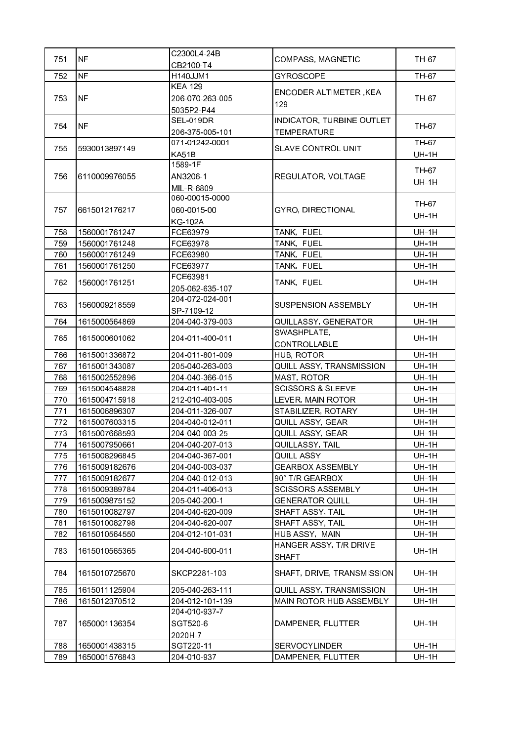| 751        | <b>NF</b>                      | C2300L4-24B                        | COMPASS, MAGNETIC                    | TH-67                        |
|------------|--------------------------------|------------------------------------|--------------------------------------|------------------------------|
|            |                                | CB2100-T4                          |                                      |                              |
| 752        | <b>NF</b>                      | H140JJM1                           | <b>GYROSCOPE</b>                     | TH-67                        |
|            |                                | <b>KEA 129</b>                     | ENCODER ALTIMETER, KEA               |                              |
| 753        | <b>NF</b>                      | 206-070-263-005                    | 129                                  | TH-67                        |
|            |                                | 5035P2-P44                         |                                      |                              |
| 754        | <b>NF</b>                      | <b>SEL-019DR</b>                   | INDICATOR, TURBINE OUTLET            | TH-67                        |
|            |                                | 206 375 005 101                    | <b>TEMPERATURE</b>                   |                              |
| 755        | 5930013897149                  | 071-01242-0001                     | <b>SLAVE CONTROL UNIT</b>            | TH-67                        |
|            |                                | KA51B                              |                                      | <b>UH-1H</b>                 |
|            |                                | 1589-1F                            |                                      | TH-67                        |
| 756        | 6110009976055                  | AN3206-1                           | REGULATOR, VOLTAGE                   | <b>UH-1H</b>                 |
|            |                                | MIL-R-6809                         |                                      |                              |
|            |                                | 060-00015-0000                     |                                      | TH-67                        |
| 757        | 6615012176217                  | 060-0015-00                        | <b>GYRO, DIRECTIONAL</b>             | <b>UH-1H</b>                 |
|            |                                | <b>KG-102A</b>                     |                                      |                              |
| 758        | 1560001761247                  | FCE63979                           | TANK, FUEL                           | <b>UH-1H</b>                 |
| 759        | 1560001761248                  | FCE63978                           | TANK, FUEL                           | <b>UH-1H</b>                 |
| 760        | 1560001761249                  | FCE63980                           | TANK, FUEL                           | <b>UH-1H</b>                 |
| 761        | 1560001761250                  | FCE63977                           | TANK, FUEL                           | <b>UH-1H</b>                 |
| 762        | 1560001761251                  | FCE63981                           | TANK, FUEL                           | <b>UH-1H</b>                 |
|            |                                | 205-062-635-107                    |                                      |                              |
| 763        | 1560009218559                  | 204-072-024-001                    | <b>SUSPENSION ASSEMBLY</b>           | <b>UH-1H</b>                 |
|            |                                | SP-7109-12                         |                                      |                              |
| 764        | 1615000564869                  | 204-040-379-003                    | QUILLASSY, GENERATOR                 | <b>UH-1H</b>                 |
| 765        | 1615000601062                  | 204-011-400-011                    | SWASHPLATE,                          | <b>UH-1H</b>                 |
|            |                                |                                    | CONTROLLABLE                         |                              |
| 766        | 1615001336872                  | 204-011-801-009                    | HUB, ROTOR                           | <b>UH-1H</b>                 |
| 767        | 1615001343087                  | 205-040-263-003                    | QUILL ASSY, TRANSMISSION             | <b>UH-1H</b>                 |
| 768        | 1615002552896                  | 204-040-366-015                    | MAST, ROTOR                          | <b>UH-1H</b>                 |
| 769        | 1615004548828                  | 204-011-401-11                     | <b>SCISSORS &amp; SLEEVE</b>         | <b>UH-1H</b>                 |
| 770        | 1615004715918                  | 212-010-403-005                    | LEVER, MAIN ROTOR                    | <b>UH-1H</b>                 |
| 771        | 1615006896307                  | 204-011-326-007                    | STABILIZER, ROTARY                   | <b>UH-1H</b>                 |
| 772        | 1615007603315                  | 204-040-012-011                    | QUILL ASSY, GEAR                     | <b>UH-1H</b>                 |
| 773        | 1615007668593                  | 204-040-003-25                     | QUILL ASSY, GEAR                     | <b>UH-1H</b>                 |
| 774        | 1615007950661                  | 204-040-207-013                    | QUILLASSY, TAIL                      | UH-1H                        |
| 775        | 1615008296845                  | 204-040-367-001                    | QUILL ASSY                           | <b>UH-1H</b>                 |
| 776        | 1615009182676                  | 204-040-003-037                    | <b>GEARBOX ASSEMBLY</b>              | <b>UH-1H</b>                 |
| 777        | 1615009182677                  | 204-040-012-013                    | 90° T/R GEARBOX                      | <b>UH-1H</b>                 |
| 778        | 1615009389784                  | 204-011-406-013                    | <b>SCISSORS ASSEMBLY</b>             | <b>UH-1H</b>                 |
| 779        | 1615009875152                  | 205-040-200-1                      | <b>GENERATOR QUILL</b>               | <b>UH-1H</b>                 |
| 780<br>781 | 1615010082797<br>1615010082798 | 204-040-620-009<br>204-040-620-007 | SHAFT ASSY, TAIL<br>SHAFT ASSY, TAIL | <b>UH-1H</b><br><b>UH-1H</b> |
| 782        | 1615010564550                  | 204-012-101-031                    | HUB ASSY, MAIN                       | <b>UH-1H</b>                 |
|            |                                |                                    | HANGER ASSY, T/R DRIVE               |                              |
| 783        | 1615010565365                  | 204-040-600-011                    | <b>SHAFT</b>                         | <b>UH-1H</b>                 |
|            |                                |                                    |                                      |                              |
| 784        | 1615010725670                  | SKCP2281-103                       | SHAFT, DRIVE, TRANSMISSION           | <b>UH-1H</b>                 |
| 785        | 1615011125904                  | 205-040-263-111                    | QUILL ASSY, TRANSMISSION             | <b>UH-1H</b>                 |
| 786        | 1615012370512                  | 204-012-101-139                    | MAIN ROTOR HUB ASSEMBLY              | <b>UH-1H</b>                 |
|            |                                | 204-010-937-7                      |                                      |                              |
| 787        | 1650001136354                  | SGT520-6                           | DAMPENER, FLUTTER                    | <b>UH-1H</b>                 |
|            |                                | 2020H-7                            |                                      |                              |
| 788        | 1650001438315                  | SGT220-11                          | <b>SERVOCYLINDER</b>                 | <b>UH-1H</b>                 |
| 789        | 1650001576843                  | 204-010-937                        | DAMPENER, FLUTTER                    | <b>UH-1H</b>                 |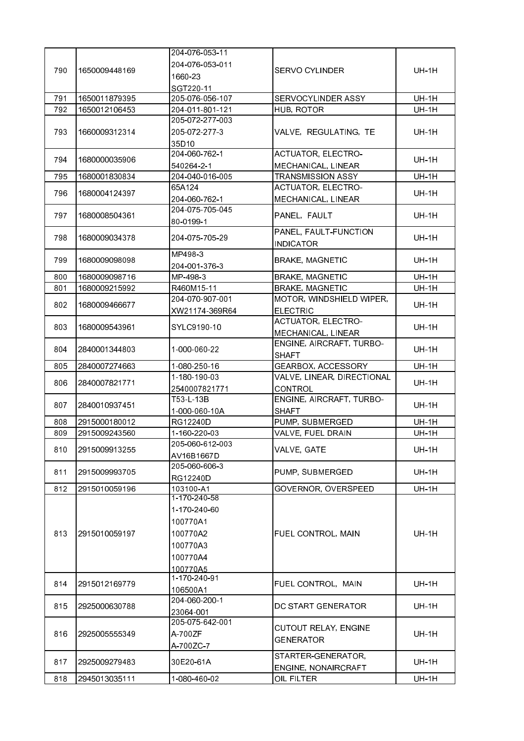|     |               | 204 076 053 11             |                                     |              |
|-----|---------------|----------------------------|-------------------------------------|--------------|
| 790 |               | 204-076-053-011            |                                     |              |
|     | 1650009448169 | 1660-23                    | <b>SERVO CYLINDER</b>               | <b>UH-1H</b> |
|     |               | SGT220-11                  |                                     |              |
| 791 | 1650011879395 | 205-076-056-107            | SERVOCYLINDER ASSY                  | <b>UH-1H</b> |
| 792 | 1650012106453 | 204-011-801-121            | HUB, ROTOR                          | <b>UH-1H</b> |
|     |               | 205-072-277-003            |                                     |              |
| 793 | 1660009312314 | 205 072 277 3              | VALVE, REGULATING, TE               | <b>UH-1H</b> |
|     |               | 35D10                      |                                     |              |
|     |               | 204-060-762-1              | <b>ACTUATOR, ELECTRO-</b>           |              |
| 794 | 1680000035906 | 540264-2-1                 | MECHANICAL, LINEAR                  | <b>UH-1H</b> |
| 795 | 1680001830834 | 204-040-016-005            | <b>TRANSMISSION ASSY</b>            | <b>UH-1H</b> |
| 796 |               | 65A124                     | ACTUATOR, ELECTRO-                  |              |
|     | 1680004124397 | 204 060 762 1              | MECHANICAL, LINEAR                  | <b>UH-1H</b> |
| 797 | 1680008504361 | 204-075-705-045            |                                     | <b>UH-1H</b> |
|     |               | 80-0199-1                  | PANEL, FAULT                        |              |
| 798 | 1680009034378 | 204 075 705 29             | PANEL, FAULT-FUNCTION               | <b>UH-1H</b> |
|     |               |                            | <b>INDICATOR</b>                    |              |
| 799 | 1680009098098 | MP498-3                    | <b>BRAKE, MAGNETIC</b>              | <b>UH-1H</b> |
|     |               | 204-001-376-3              |                                     |              |
| 800 | 1680009098716 | MP-498-3                   | <b>BRAKE, MAGNETIC</b>              | <b>UH-1H</b> |
| 801 | 1680009215992 | R460M15-11                 | <b>BRAKE, MAGNETIC</b>              | <b>UH-1H</b> |
| 802 | 1680009466677 | 204-070-907-001            | MOTOR, WINDSHIELD WIPER,            | <b>UH-1H</b> |
|     |               | XW21174-369R64             | <b>ELECTRIC</b>                     |              |
| 803 | 1680009543961 | SYLC9190-10                | <b>ACTUATOR, ELECTRO-</b>           | UH-1H        |
|     |               |                            | MECHANICAL, LINEAR                  |              |
| 804 | 2840001344803 | 1-000-060-22               | ENGINE, AIRCRAFT, TURBO-            | <b>UH-1H</b> |
|     |               |                            | <b>SHAFT</b>                        |              |
| 805 | 2840007274663 | 1-080-250-16               | GEARBOX, ACCESSORY                  | <b>UH-1H</b> |
| 806 | 2840007821771 | 1-180-190-03               | VALVE, LINEAR, DIRECTIONAL          | <b>UH-1H</b> |
|     |               | 2540007821771<br>T53-L-13B | CONTROL<br>ENGINE, AIRCRAFT, TURBO- |              |
| 807 | 2840010937451 |                            |                                     | <b>UH-1H</b> |
| 808 | 2915000180012 | 1-000-060-10A<br>RG12240D  | <b>SHAFT</b><br>PUMP, SUBMERGED     | <b>UH-1H</b> |
| 809 | 2915009243560 | 1-160-220-03               | VALVE, FUEL DRAIN                   | <b>UH-1H</b> |
|     |               | 205-060-612-003            |                                     |              |
| 810 | 2915009913255 | AV16B1667D                 | VALVE, GATE                         | <b>UH-1H</b> |
|     |               | 205-060-606-3              |                                     |              |
| 811 | 2915009993705 | RG12240D                   | PUMP, SUBMERGED                     | <b>UH-1H</b> |
| 812 | 2915010059196 | 103100-A1                  | GOVERNOR, OVERSPEED                 | <b>UH-1H</b> |
|     |               | 1-170-240-58               |                                     |              |
|     | 2915010059197 | 1-170-240-60               | FUEL CONTROL, MAIN                  | <b>UH-1H</b> |
|     |               | 100770A1                   |                                     |              |
| 813 |               | 100770A2                   |                                     |              |
|     |               | 100770A3                   |                                     |              |
|     |               | 100770A4                   |                                     |              |
|     |               |                            |                                     |              |
|     |               | 100770A5<br>1-170-240-91   |                                     |              |
| 814 | 2915012169779 | 106500A1                   | FUEL CONTROL, MAIN                  | <b>UH-1H</b> |
|     | 2925000630788 | 204-060-200-1              | DC START GENERATOR                  | <b>UH-1H</b> |
| 815 |               | 23064-001                  |                                     |              |
|     |               | 205-075-642-001            |                                     |              |
| 816 | 2925005555349 | A-700ZF                    | <b>CUTOUT RELAY, ENGINE</b>         | <b>UH-1H</b> |
|     |               | A-700ZC-7                  | <b>GENERATOR</b>                    |              |
|     |               |                            | STARTER-GENERATOR,                  |              |
| 817 | 2925009279483 | 30E20-61A                  | ENGINE, NONAIRCRAFT                 | UH-1H        |
| 818 | 2945013035111 | 1-080-460-02               | OIL FILTER                          | <b>UH-1H</b> |
|     |               |                            |                                     |              |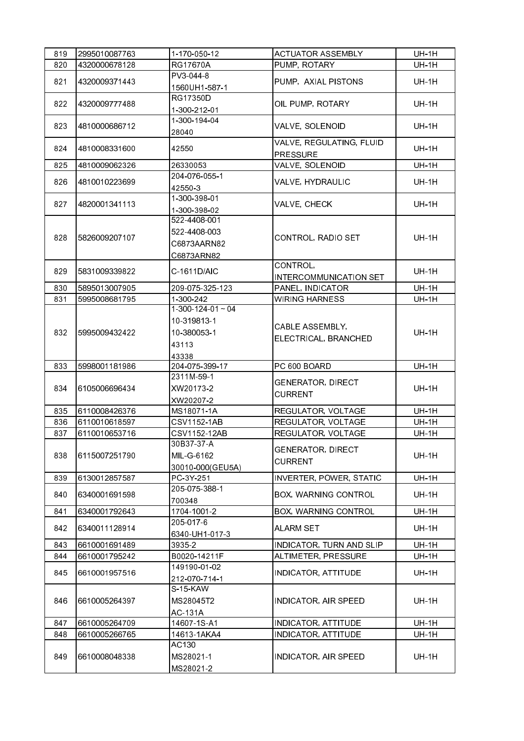| 819        | 2995010087763                  | 1-170-050-12                                                           | <b>ACTUATOR ASSEMBLY</b>                          | <b>UH-1H</b>                 |
|------------|--------------------------------|------------------------------------------------------------------------|---------------------------------------------------|------------------------------|
| 820        | 4320000678128                  | RG17670A                                                               | PUMP, ROTARY                                      | <b>UH-1H</b>                 |
| 821        | 4320009371443                  | PV3-044-8<br>1560UH1-587-1                                             | PUMP, AXIAL PISTONS                               | <b>UH-1H</b>                 |
| 822        | 4320009777488                  | RG17350D<br>1-300-212-01                                               | OIL PUMP, ROTARY                                  | <b>UH-1H</b>                 |
| 823        | 4810000686712                  | 1-300-194-04<br>28040                                                  | VALVE, SOLENOID                                   | <b>UH-1H</b>                 |
| 824        | 4810008331600                  | 42550                                                                  | VALVE, REGULATING, FLUID<br><b>PRESSURE</b>       | <b>UH-1H</b>                 |
| 825        | 4810009062326                  | 26330053                                                               | VALVE, SOLENOID                                   | <b>UH-1H</b>                 |
| 826        | 4810010223699                  | 204 076 055 1<br>42550-3                                               | VALVE, HYDRAULIC                                  | <b>UH-1H</b>                 |
| 827        | 4820001341113                  | 1-300-398-01<br>1-300-398-02                                           | VALVE, CHECK                                      | <b>UH-1H</b>                 |
| 828        | 5826009207107                  | 522-4408-001<br>522-4408-003<br>C6873AARN82<br>C6873ARN82              | CONTROL, RADIO SET                                | <b>UH-1H</b>                 |
| 829        | 5831009339822                  | C-1611D/AIC                                                            | CONTROL,<br>INTERCOMMUNICATION SET                | <b>UH-1H</b>                 |
| 830        | 5895013007905                  | 209 075 325 123                                                        | PANEL, INDICATOR                                  | <b>UH-1H</b>                 |
| 831        | 5995008681795                  | 1-300-242                                                              | <b>WIRING HARNESS</b>                             | <b>UH-1H</b>                 |
| 832        | 5995009432422                  | $1-300-124-01 \sim 04$<br>10-319813-1<br>10-380053-1<br>43113<br>43338 | CABLE ASSEMBLY,<br>ELECTRICAL, BRANCHED           | <b>UH-1H</b>                 |
|            |                                |                                                                        |                                                   |                              |
| 833        | 5998001181986                  | 204-075-399-17                                                         | PC 600 BOARD                                      | <b>UH-1H</b>                 |
| 834        | 6105006696434                  | 2311M-59-1<br>XW20173-2<br>XW20207-2                                   | <b>GENERATOR, DIRECT</b><br><b>CURRENT</b>        | <b>UH-1H</b>                 |
| 835        | 6110008426376                  | MS18071-1A                                                             | REGULATOR, VOLTAGE                                | <b>UH-1H</b>                 |
| 836        | 6110010618597                  | CSV1152-1AB                                                            | REGULATOR, VOLTAGE                                | <b>UH-1H</b>                 |
| 837        | 6110010653716                  | CSV1152-12AB                                                           | REGULATOR, VOLTAGE                                | <b>UH-1H</b>                 |
| 838        | 6115007251790                  | 30B37-37-A<br>MIL-G-6162                                               | <b>GENERATOR, DIRECT</b><br><b>CURRENT</b>        | <b>UH-1H</b>                 |
| 839        | 6130012857587                  | 30010-000(GEU5A)<br>PC-3Y-251                                          | <b>INVERTER, POWER, STATIC</b>                    | <b>UH-1H</b>                 |
| 840        | 6340001691598                  | 205-075-388-1                                                          | BOX, WARNING CONTROL                              | <b>UH-1H</b>                 |
|            |                                | 700348<br>1704-1001-2                                                  |                                                   |                              |
| 841<br>842 | 6340001792643<br>6340011128914 | 205-017-6                                                              | BOX, WARNING CONTROL<br>ALARM SET                 | <b>UH-1H</b><br><b>UH-1H</b> |
|            |                                | 6340-UH1-017-3<br>3935-2                                               |                                                   |                              |
| 843        | 6610001691489<br>6610001795242 | B0020-14211F                                                           | INDICATOR, TURN AND SLIP                          | <b>UH-1H</b>                 |
| 844<br>845 | 6610001957516                  | 149190-01-02<br>212-070-714-1                                          | ALTIMETER, PRESSURE<br><b>INDICATOR, ATTITUDE</b> | <b>UH-1H</b><br><b>UH-1H</b> |
| 846        | 6610005264397                  | S-15-KAW<br>MS28045T2<br><b>AC 131A</b>                                | INDICATOR, AIR SPEED                              | <b>UH-1H</b>                 |
| 847        | 6610005264709                  | 14607-1S-A1                                                            | <b>INDICATOR, ATTITUDE</b>                        | <b>UH-1H</b>                 |
| 848        | 6610005266765                  | 14613-1AKA4                                                            | INDICATOR, ATTITUDE                               | <b>UH-1H</b>                 |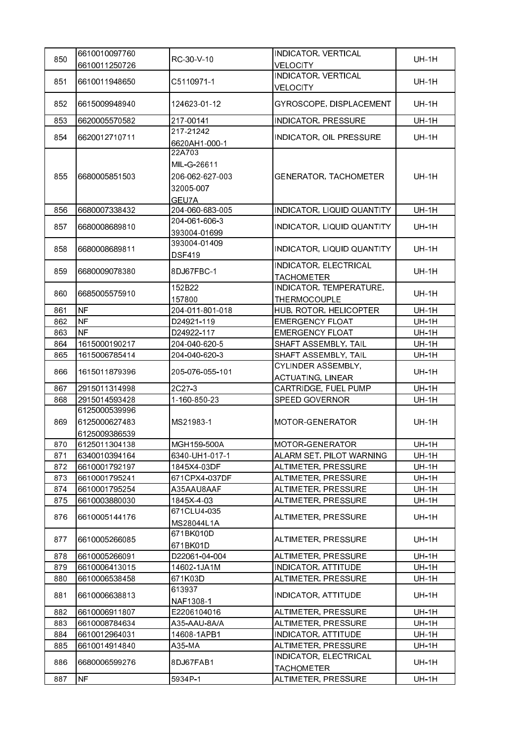|     | 6610010097760 |                 | INDICATOR, VERTICAL          |              |
|-----|---------------|-----------------|------------------------------|--------------|
| 850 | 6610011250726 | RC-30 V-10      | <b>VELOCITY</b>              | <b>UH-1H</b> |
|     |               |                 | <b>INDICATOR, VERTICAL</b>   |              |
| 851 | 6610011948650 | C5110971-1      | <b>VELOCITY</b>              | $UH-1H$      |
| 852 | 6615009948940 | 124623-01-12    | GYROSCOPE, DISPLACEMENT      | <b>UH-1H</b> |
|     |               |                 |                              |              |
| 853 | 6620005570582 | 217-00141       | <b>INDICATOR, PRESSURE</b>   | <b>UH-1H</b> |
| 854 | 6620012710711 | 217-21242       | INDICATOR, OIL PRESSURE      | <b>UH-1H</b> |
|     |               | 6620AH1-000-1   |                              |              |
|     |               | 22A703          |                              |              |
|     |               | MIL G 26611     |                              |              |
| 855 | 6680005851503 | 206-062-627-003 | <b>GENERATOR, TACHOMETER</b> | <b>UH-1H</b> |
|     |               | 32005-007       |                              |              |
|     |               | GEU7A           |                              |              |
| 856 | 6680007338432 | 204-060-683-005 | INDICATOR, LIQUID QUANTITY   | <b>UH-1H</b> |
| 857 | 6680008689810 | 204-061-606-3   | INDICATOR, LIQUID QUANTITY   | <b>UH-1H</b> |
|     |               | 393004-01699    |                              |              |
| 858 | 6680008689811 | 393004-01409    | INDICATOR, LIQUID QUANTITY   | <b>UH-1H</b> |
|     |               | <b>DSF419</b>   |                              |              |
| 859 | 6680009078380 | 8DJ67FBC-1      | INDICATOR, ELECTRICAL        | <b>UH-1H</b> |
|     |               |                 | <b>TACHOMETER</b>            |              |
| 860 | 6685005575910 | 152B22          | INDICATOR, TEMPERATURE,      | <b>UH-1H</b> |
|     |               | 157800          | <b>THERMOCOUPLE</b>          |              |
| 861 | <b>NF</b>     | 204-011-801-018 | HUB, ROTOR, HELICOPTER       | <b>UH-1H</b> |
| 862 | <b>NF</b>     | D24921-119      | <b>EMERGENCY FLOAT</b>       | <b>UH-1H</b> |
| 863 | <b>NF</b>     | D24922-117      | <b>EMERGENCY FLOAT</b>       | <b>UH-1H</b> |
| 864 | 1615000190217 | 204-040-620-5   | SHAFT ASSEMBLY, TAIL         | <b>UH-1H</b> |
| 865 | 1615006785414 | 204-040-620-3   | SHAFT ASSEMBLY, TAIL         | <b>UH-1H</b> |
| 866 | 1615011879396 | 205-076-055-101 | CYLINDER ASSEMBLY,           | <b>UH-1H</b> |
|     |               |                 | <b>ACTUATING, LINEAR</b>     |              |
| 867 | 2915011314998 | 2C27-3          | CARTRIDGE, FUEL PUMP         | <b>UH-1H</b> |
| 868 | 2915014593428 | 1-160-850-23    | <b>SPEED GOVERNOR</b>        | UH-1H        |
|     | 6125000539996 |                 |                              |              |
| 869 | 6125000627483 | MS21983-1       | MOTOR-GENERATOR              | <b>UH-1H</b> |
|     | 6125009386539 |                 |                              |              |
| 870 | 6125011304138 | MGH159-500A     | MOTOR GENERATOR              | UH-1H        |
| 871 | 6340010394164 | 6340-UH1-017-1  | ALARM SET, PILOT WARNING     | UH-1H        |
| 872 | 6610001792197 | 1845X4-03DF     | ALTIMETER, PRESSURE          | <b>UH-1H</b> |
| 873 | 6610001795241 | 671CPX4-037DF   | ALTIMETER, PRESSURE          | <b>UH-1H</b> |
| 874 | 6610001795254 | A35AAU8AAF      | ALTIMETER, PRESSURE          | <b>UH-1H</b> |
| 875 | 6610003880030 | 1845X-4-03      | ALTIMETER, PRESSURE          | <b>UH-1H</b> |
| 876 | 6610005144176 | 671CLU4-035     | ALTIMETER, PRESSURE          | <b>UH-1H</b> |
|     |               | MS28044L1A      |                              |              |
| 877 | 6610005266085 | 671BK010D       | ALTIMETER, PRESSURE          | UH-1H        |
|     |               | 671BK01D        |                              |              |
| 878 | 6610005266091 | D22061-04-004   | ALTIMETER, PRESSURE          | <b>UH-1H</b> |
| 879 | 6610006413015 | 14602-1JA1M     | <b>INDICATOR, ATTITUDE</b>   | <b>UH-1H</b> |
| 880 | 6610006538458 | 671K03D         | ALTIMETER, PRESSURE          | <b>UH-1H</b> |
| 881 | 6610006638813 | 613937          | INDICATOR, ATTITUDE          | UH-1H        |
|     |               | NAF1308-1       |                              |              |
| 882 | 6610006911807 | E2206104016     | ALTIMETER, PRESSURE          | <b>UH-1H</b> |
| 883 | 6610008784634 | A35-AAU-8A/A    | ALTIMETER, PRESSURE          | <b>UH-1H</b> |
| 884 | 6610012964031 | 14608-1APB1     | INDICATOR, ATTITUDE          | <b>UH-1H</b> |
| 885 | 6610014914840 | A35-MA          | ALTIMETER, PRESSURE          | <b>UH-1H</b> |
| 886 | 6680006599276 | 8DJ67FAB1       | INDICATOR, ELECTRICAL        | <b>UH-1H</b> |
|     |               |                 | <b>TACHOMETER</b>            |              |
| 887 | <b>NF</b>     | 5934P-1         | ALTIMETER, PRESSURE          | <b>UH-1H</b> |